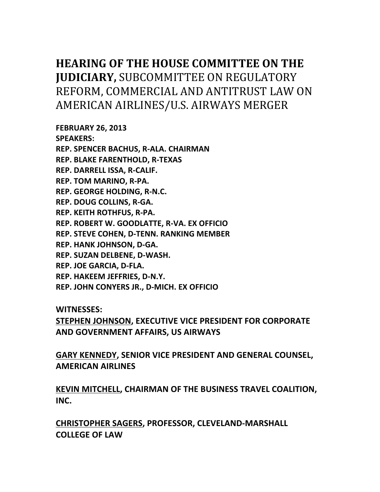# **HEARING OF THE HOUSE COMMITTEE ON THE JUDICIARY, SUBCOMMITTEE ON REGULATORY** REFORM, COMMERCIAL AND ANTITRUST LAW ON AMERICAN AIRLINES/U.S. AIRWAYS MERGER

**FEBRUARY 26, 2013 SPEAKERS: REP. SPENCER BACHUS, R-ALA. CHAIRMAN REP. BLAKE FARENTHOLD, R-TEXAS REP. DARRELL ISSA, R-CALIF. REP. TOM MARINO, R-PA. REP. GEORGE HOLDING, R-N.C. REP. DOUG COLLINS, R-GA. REP. KEITH ROTHFUS, R-PA. REP.!ROBERT!W.!GOODLATTE,!R7VA. EX!OFFICIO REP. STEVE COHEN, D-TENN. RANKING MEMBER REP. HANK JOHNSON, D-GA.** REP. SUZAN DELBENE, D-WASH. **REP. JOE GARCIA, D-FLA. REP. HAKEEM JEFFRIES, D-N.Y. REP. JOHN CONYERS JR., D-MICH. EX OFFICIO** 

**WITNESSES:**

STEPHEN JOHNSON, EXECUTIVE VICE PRESIDENT FOR CORPORATE **AND GOVERNMENT!AFFAIRS,!US!AIRWAYS**

GARY KENNEDY, SENIOR VICE PRESIDENT AND GENERAL COUNSEL, **AMERICAN!AIRLINES**

**KEVIN!MITCHELL, CHAIRMAN!OF!THE!BUSINESS!TRAVEL!COALITION,! INC.**

**CHRISTOPHER!SAGERS,!PROFESSOR, CLEVELAND7MARSHALL! COLLEGE OF LAW**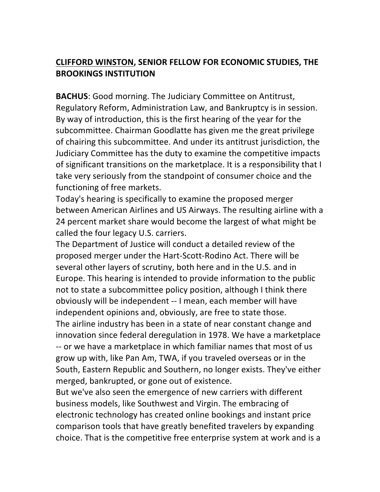### **CLIFFORD!WINSTON, SENIOR!FELLOW!FOR!ECONOMIC!STUDIES, THE! BROOKINGS INSTITUTION**

**BACHUS:** Good morning. The Judiciary Committee on Antitrust, Regulatory Reform, Administration Law, and Bankruptcy is in session. By way of introduction, this is the first hearing of the year for the subcommittee. Chairman Goodlatte has given me the great privilege of chairing this subcommittee. And under its antitrust jurisdiction, the Judiciary Committee has the duty to examine the competitive impacts of significant transitions on the marketplace. It is a responsibility that I take very seriously from the standpoint of consumer choice and the functioning of free markets.

Today's hearing is specifically to examine the proposed merger between American Airlines and US Airways. The resulting airline with a 24 percent market share would become the largest of what might be called the four legacy U.S. carriers.

The Department of Justice will conduct a detailed review of the proposed merger under the Hart-Scott-Rodino Act. There will be several other layers of scrutiny, both here and in the U.S. and in Europe. This hearing is intended to provide information to the public not to state a subcommittee policy position, although I think there obviously will be independent -- I mean, each member will have independent opinions and, obviously, are free to state those. The airline industry has been in a state of near constant change and innovation since federal deregulation in 1978. We have a marketplace -- or we have a marketplace in which familiar names that most of us grow up with, like Pan Am, TWA, if you traveled overseas or in the South, Eastern Republic and Southern, no longer exists. They've either merged, bankrupted, or gone out of existence.

But we've also seen the emergence of new carriers with different business models, like Southwest and Virgin. The embracing of electronic technology has created online bookings and instant price comparison tools that have greatly benefited travelers by expanding choice. That is the competitive free enterprise system at work and is a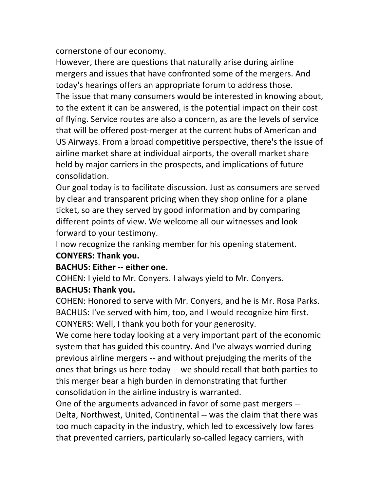cornerstone of our economy.

However, there are questions that naturally arise during airline mergers and issues that have confronted some of the mergers. And today's hearings offers an appropriate forum to address those. The issue that many consumers would be interested in knowing about, to the extent it can be answered, is the potential impact on their cost of flying. Service routes are also a concern, as are the levels of service that will be offered post-merger at the current hubs of American and US Airways. From a broad competitive perspective, there's the issue of airline market share at individual airports, the overall market share held by major carriers in the prospects, and implications of future consolidation.

Our goal today is to facilitate discussion. Just as consumers are served by clear and transparent pricing when they shop online for a plane ticket, so are they served by good information and by comparing different points of view. We welcome all our witnesses and look forward to your testimony.

I now recognize the ranking member for his opening statement. **CONYERS: Thank you.** 

#### **BACHUS: Either -- either one.**

COHEN: I yield to Mr. Conyers. I always yield to Mr. Conyers.

### **BACHUS: Thank you.**

COHEN: Honored to serve with Mr. Convers, and he is Mr. Rosa Parks. BACHUS: I've served with him, too, and I would recognize him first. CONYERS: Well, I thank you both for your generosity.

We come here today looking at a very important part of the economic system that has guided this country. And I've always worried during previous airline mergers -- and without prejudging the merits of the ones that brings us here today -- we should recall that both parties to this merger bear a high burden in demonstrating that further consolidation in the airline industry is warranted.

One of the arguments advanced in favor of some past mergers --Delta, Northwest, United, Continental -- was the claim that there was too much capacity in the industry, which led to excessively low fares that prevented carriers, particularly so-called legacy carriers, with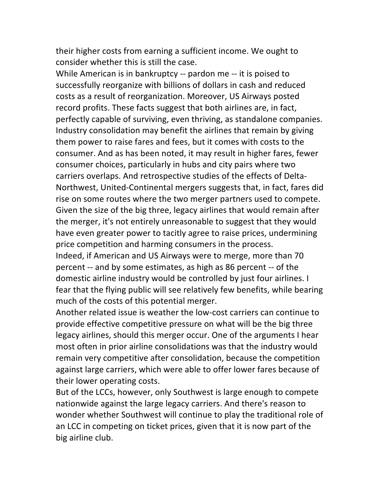their higher costs from earning a sufficient income. We ought to consider whether this is still the case.

While American is in bankruptcy -- pardon me -- it is poised to successfully reorganize with billions of dollars in cash and reduced costs as a result of reorganization. Moreover, US Airways posted record profits. These facts suggest that both airlines are, in fact, perfectly capable of surviving, even thriving, as standalone companies. Industry consolidation may benefit the airlines that remain by giving them power to raise fares and fees, but it comes with costs to the consumer. And as has been noted, it may result in higher fares, fewer consumer choices, particularly in hubs and city pairs where two carriers overlaps. And retrospective studies of the effects of Delta-Northwest, United-Continental mergers suggests that, in fact, fares did rise on some routes where the two merger partners used to compete. Given the size of the big three, legacy airlines that would remain after the merger, it's not entirely unreasonable to suggest that they would have even greater power to tacitly agree to raise prices, undermining price competition and harming consumers in the process.

Indeed, if American and US Airways were to merge, more than 70 percent -- and by some estimates, as high as 86 percent -- of the domestic airline industry would be controlled by just four airlines. I fear that the flying public will see relatively few benefits, while bearing much of the costs of this potential merger.

Another related issue is weather the low-cost carriers can continue to provide effective competitive pressure on what will be the big three legacy airlines, should this merger occur. One of the arguments I hear most often in prior airline consolidations was that the industry would remain very competitive after consolidation, because the competition against large carriers, which were able to offer lower fares because of their lower operating costs.

But of the LCCs, however, only Southwest is large enough to compete nationwide against the large legacy carriers. And there's reason to wonder whether Southwest will continue to play the traditional role of an LCC in competing on ticket prices, given that it is now part of the big airline club.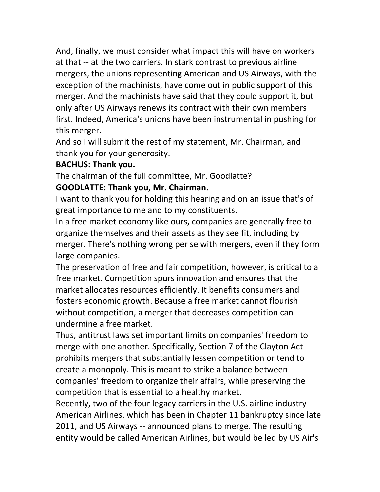And, finally, we must consider what impact this will have on workers at that -- at the two carriers. In stark contrast to previous airline mergers, the unions representing American and US Airways, with the exception of the machinists, have come out in public support of this merger. And the machinists have said that they could support it, but only after US Airways renews its contract with their own members first. Indeed, America's unions have been instrumental in pushing for this merger.

And so I will submit the rest of my statement, Mr. Chairman, and thank you for your generosity.

#### **BACHUS: Thank you.**

The chairman of the full committee, Mr. Goodlatte?

#### **GOODLATTE: Thank you, Mr. Chairman.**

I want to thank you for holding this hearing and on an issue that's of great importance to me and to my constituents.

In a free market economy like ours, companies are generally free to organize themselves and their assets as they see fit, including by merger. There's nothing wrong per se with mergers, even if they form large companies.

The preservation of free and fair competition, however, is critical to a free market. Competition spurs innovation and ensures that the market allocates resources efficiently. It benefits consumers and fosters economic growth. Because a free market cannot flourish without competition, a merger that decreases competition can undermine a free market.

Thus, antitrust laws set important limits on companies' freedom to merge with one another. Specifically, Section 7 of the Clayton Act prohibits mergers that substantially lessen competition or tend to create a monopoly. This is meant to strike a balance between companies' freedom to organize their affairs, while preserving the competition that is essential to a healthy market.

Recently, two of the four legacy carriers in the U.S. airline industry --American Airlines, which has been in Chapter 11 bankruptcy since late 2011, and US Airways -- announced plans to merge. The resulting entity would be called American Airlines, but would be led by US Air's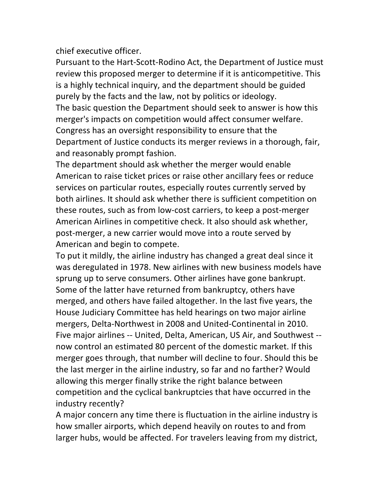chief executive officer.

Pursuant to the Hart-Scott-Rodino Act, the Department of Justice must review this proposed merger to determine if it is anticompetitive. This is a highly technical inquiry, and the department should be guided purely by the facts and the law, not by politics or ideology. The basic question the Department should seek to answer is how this merger's impacts on competition would affect consumer welfare. Congress has an oversight responsibility to ensure that the Department of Justice conducts its merger reviews in a thorough, fair, and reasonably prompt fashion.

The department should ask whether the merger would enable American to raise ticket prices or raise other ancillary fees or reduce services on particular routes, especially routes currently served by both airlines. It should ask whether there is sufficient competition on these routes, such as from low-cost carriers, to keep a post-merger American Airlines in competitive check. It also should ask whether, post-merger, a new carrier would move into a route served by American and begin to compete.

To put it mildly, the airline industry has changed a great deal since it was deregulated in 1978. New airlines with new business models have sprung up to serve consumers. Other airlines have gone bankrupt. Some of the latter have returned from bankruptcy, others have merged, and others have failed altogether. In the last five years, the House Judiciary Committee has held hearings on two major airline mergers, Delta-Northwest in 2008 and United-Continental in 2010. Five major airlines -- United, Delta, American, US Air, and Southwest -now control an estimated 80 percent of the domestic market. If this merger goes through, that number will decline to four. Should this be the last merger in the airline industry, so far and no farther? Would allowing this merger finally strike the right balance between competition and the cyclical bankruptcies that have occurred in the industry recently?

A major concern any time there is fluctuation in the airline industry is how smaller airports, which depend heavily on routes to and from larger hubs, would be affected. For travelers leaving from my district,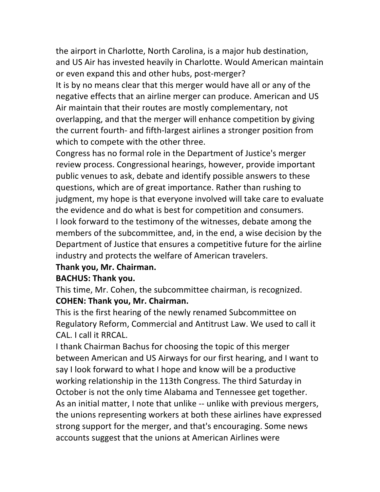the airport in Charlotte, North Carolina, is a major hub destination, and US Air has invested heavily in Charlotte. Would American maintain or even expand this and other hubs, post-merger?

It is by no means clear that this merger would have all or any of the negative effects that an airline merger can produce. American and US Air maintain that their routes are mostly complementary, not overlapping, and that the merger will enhance competition by giving the current fourth- and fifth-largest airlines a stronger position from which to compete with the other three.

Congress has no formal role in the Department of Justice's merger review process. Congressional hearings, however, provide important public venues to ask, debate and identify possible answers to these questions, which are of great importance. Rather than rushing to judgment, my hope is that everyone involved will take care to evaluate the evidence and do what is best for competition and consumers. I look forward to the testimony of the witnesses, debate among the members of the subcommittee, and, in the end, a wise decision by the Department of Justice that ensures a competitive future for the airline industry and protects the welfare of American travelers.

#### **Thank you, Mr. Chairman.**

#### **BACHUS: Thank you.**

This time, Mr. Cohen, the subcommittee chairman, is recognized.

#### **COHEN: Thank you, Mr. Chairman.**

This is the first hearing of the newly renamed Subcommittee on Regulatory Reform, Commercial and Antitrust Law. We used to call it CAL. I call it RRCAL.

I thank Chairman Bachus for choosing the topic of this merger between American and US Airways for our first hearing, and I want to say I look forward to what I hope and know will be a productive working relationship in the 113th Congress. The third Saturday in October is not the only time Alabama and Tennessee get together. As an initial matter, I note that unlike -- unlike with previous mergers, the unions representing workers at both these airlines have expressed strong support for the merger, and that's encouraging. Some news accounts suggest that the unions at American Airlines were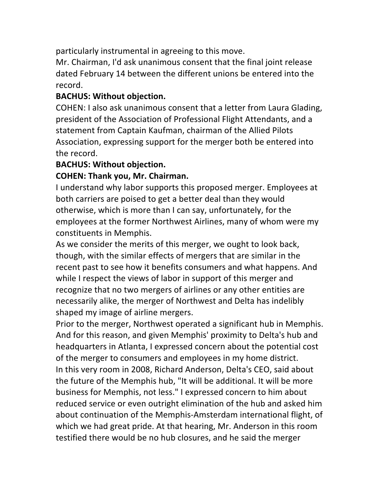particularly instrumental in agreeing to this move.

Mr. Chairman, I'd ask unanimous consent that the final joint release dated February 14 between the different unions be entered into the record.

#### **BACHUS: Without objection.**

COHEN: I also ask unanimous consent that a letter from Laura Glading, president of the Association of Professional Flight Attendants, and a statement from Captain Kaufman, chairman of the Allied Pilots Association, expressing support for the merger both be entered into the record.

#### **BACHUS: Without objection.**

#### **COHEN: Thank you, Mr. Chairman.**

I understand why labor supports this proposed merger. Employees at both carriers are poised to get a better deal than they would otherwise, which is more than I can say, unfortunately, for the employees at the former Northwest Airlines, many of whom were my constituents in Memphis.

As we consider the merits of this merger, we ought to look back, though, with the similar effects of mergers that are similar in the recent past to see how it benefits consumers and what happens. And while I respect the views of labor in support of this merger and recognize that no two mergers of airlines or any other entities are necessarily alike, the merger of Northwest and Delta has indelibly shaped my image of airline mergers.

Prior to the merger, Northwest operated a significant hub in Memphis. And for this reason, and given Memphis' proximity to Delta's hub and headquarters in Atlanta, I expressed concern about the potential cost of the merger to consumers and employees in my home district. In this very room in 2008, Richard Anderson, Delta's CEO, said about the future of the Memphis hub, "It will be additional. It will be more business for Memphis, not less." I expressed concern to him about reduced service or even outright elimination of the hub and asked him about continuation of the Memphis-Amsterdam international flight, of which we had great pride. At that hearing, Mr. Anderson in this room testified there would be no hub closures, and he said the merger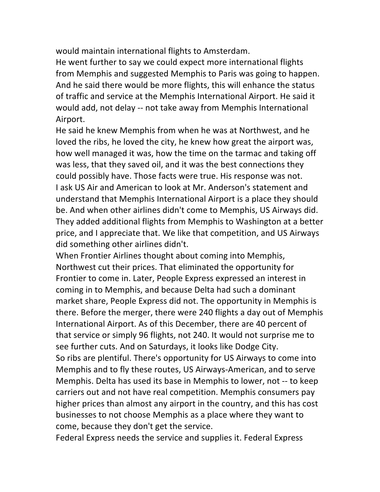would maintain international flights to Amsterdam.

He went further to say we could expect more international flights from Memphis and suggested Memphis to Paris was going to happen. And he said there would be more flights, this will enhance the status of traffic and service at the Memphis International Airport. He said it would add, not delay -- not take away from Memphis International Airport.

He said he knew Memphis from when he was at Northwest, and he loved the ribs, he loved the city, he knew how great the airport was, how well managed it was, how the time on the tarmac and taking off was less, that they saved oil, and it was the best connections they could possibly have. Those facts were true. His response was not. I ask US Air and American to look at Mr. Anderson's statement and understand that Memphis International Airport is a place they should be. And when other airlines didn't come to Memphis, US Airways did. They added additional flights from Memphis to Washington at a better price, and I appreciate that. We like that competition, and US Airways did something other airlines didn't.

When Frontier Airlines thought about coming into Memphis, Northwest cut their prices. That eliminated the opportunity for Frontier to come in. Later, People Express expressed an interest in coming in to Memphis, and because Delta had such a dominant market share, People Express did not. The opportunity in Memphis is there. Before the merger, there were 240 flights a day out of Memphis International Airport. As of this December, there are 40 percent of that service or simply 96 flights, not 240. It would not surprise me to see further cuts. And on Saturdays, it looks like Dodge City.

So ribs are plentiful. There's opportunity for US Airways to come into Memphis and to fly these routes, US Airways-American, and to serve Memphis. Delta has used its base in Memphis to lower, not -- to keep carriers out and not have real competition. Memphis consumers pay higher prices than almost any airport in the country, and this has cost businesses to not choose Memphis as a place where they want to come, because they don't get the service.

Federal Express needs the service and supplies it. Federal Express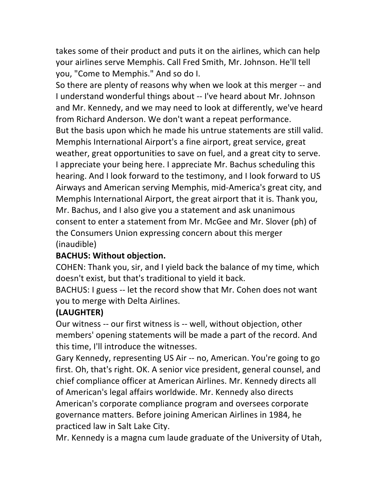takes some of their product and puts it on the airlines, which can help your airlines serve Memphis. Call Fred Smith, Mr. Johnson. He'll tell you, "Come to Memphis." And so do I.

So there are plenty of reasons why when we look at this merger -- and I understand wonderful things about -- I've heard about Mr. Johnson and Mr. Kennedy, and we may need to look at differently, we've heard from Richard Anderson. We don't want a repeat performance. But the basis upon which he made his untrue statements are still valid. Memphis International Airport's a fine airport, great service, great weather, great opportunities to save on fuel, and a great city to serve. I appreciate your being here. I appreciate Mr. Bachus scheduling this hearing. And I look forward to the testimony, and I look forward to US Airways and American serving Memphis, mid-America's great city, and Memphis International Airport, the great airport that it is. Thank you, Mr. Bachus, and I also give you a statement and ask unanimous consent to enter a statement from Mr. McGee and Mr. Slover (ph) of the Consumers Union expressing concern about this merger (inaudible)

## **BACHUS: Without objection.**

COHEN: Thank you, sir, and I yield back the balance of my time, which doesn't exist, but that's traditional to yield it back.

BACHUS: I guess -- let the record show that Mr. Cohen does not want you to merge with Delta Airlines.

### **(LAUGHTER)**

Our witness -- our first witness is -- well, without objection, other members' opening statements will be made a part of the record. And this time, I'll introduce the witnesses.

Gary Kennedy, representing US Air -- no, American. You're going to go first. Oh, that's right. OK. A senior vice president, general counsel, and chief compliance officer at American Airlines. Mr. Kennedy directs all of American's legal affairs worldwide. Mr. Kennedy also directs American's corporate compliance program and oversees corporate governance matters. Before joining American Airlines in 1984, he practiced law in Salt Lake City.

Mr. Kennedy is a magna cum laude graduate of the University of Utah,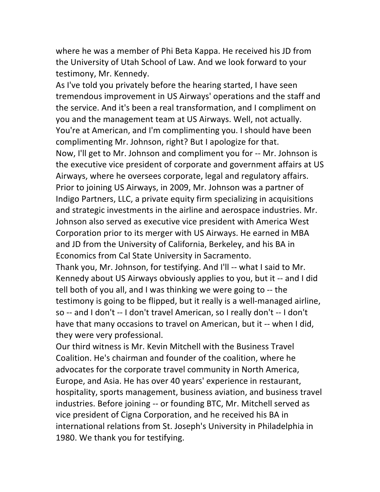where he was a member of Phi Beta Kappa. He received his JD from the University of Utah School of Law. And we look forward to your testimony, Mr. Kennedy.

As I've told you privately before the hearing started, I have seen tremendous improvement in US Airways' operations and the staff and the service. And it's been a real transformation, and I compliment on you and the management team at US Airways. Well, not actually. You're at American, and I'm complimenting you. I should have been complimenting Mr. Johnson, right? But I apologize for that. Now, I'll get to Mr. Johnson and compliment you for -- Mr. Johnson is the executive vice president of corporate and government affairs at US Airways, where he oversees corporate, legal and regulatory affairs. Prior to joining US Airways, in 2009, Mr. Johnson was a partner of Indigo Partners, LLC, a private equity firm specializing in acquisitions and strategic investments in the airline and aerospace industries. Mr. Johnson also served as executive vice president with America West Corporation prior to its merger with US Airways. He earned in MBA and JD from the University of California, Berkeley, and his BA in Economics from Cal State University in Sacramento.

Thank you, Mr. Johnson, for testifying. And I'll -- what I said to Mr. Kennedy about US Airways obviously applies to you, but it -- and I did tell both of you all, and I was thinking we were going to  $-$  the testimony is going to be flipped, but it really is a well-managed airline, so -- and I don't -- I don't travel American, so I really don't -- I don't have that many occasions to travel on American, but it -- when I did, they were very professional.

Our third witness is Mr. Kevin Mitchell with the Business Travel Coalition. He's chairman and founder of the coalition, where he advocates for the corporate travel community in North America, Europe, and Asia. He has over 40 years' experience in restaurant, hospitality, sports management, business aviation, and business travel industries. Before joining -- or founding BTC, Mr. Mitchell served as vice president of Cigna Corporation, and he received his BA in international relations from St. Joseph's University in Philadelphia in 1980. We thank you for testifying.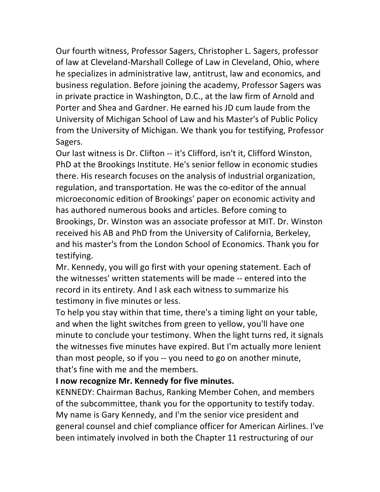Our fourth witness, Professor Sagers, Christopher L. Sagers, professor of law at Cleveland-Marshall College of Law in Cleveland, Ohio, where he specializes in administrative law, antitrust, law and economics, and business regulation. Before joining the academy, Professor Sagers was in private practice in Washington, D.C., at the law firm of Arnold and Porter and Shea and Gardner. He earned his JD cum laude from the University of Michigan School of Law and his Master's of Public Policy from the University of Michigan. We thank you for testifying, Professor Sagers.

Our last witness is Dr. Clifton -- it's Clifford, isn't it, Clifford Winston, PhD at the Brookings Institute. He's senior fellow in economic studies there. His research focuses on the analysis of industrial organization, regulation, and transportation. He was the co-editor of the annual microeconomic edition of Brookings' paper on economic activity and has authored numerous books and articles. Before coming to Brookings, Dr. Winston was an associate professor at MIT. Dr. Winston received his AB and PhD from the University of California, Berkeley, and his master's from the London School of Economics. Thank you for testifying.

Mr. Kennedy, you will go first with your opening statement. Each of the witnesses' written statements will be made -- entered into the record in its entirety. And I ask each witness to summarize his testimony in five minutes or less.

To help you stay within that time, there's a timing light on your table, and when the light switches from green to yellow, you'll have one minute to conclude your testimony. When the light turns red, it signals the witnesses five minutes have expired. But I'm actually more lenient than most people, so if you -- you need to go on another minute, that's fine with me and the members.

#### **I now recognize Mr. Kennedy for five minutes.**

KENNEDY: Chairman Bachus, Ranking Member Cohen, and members of the subcommittee, thank you for the opportunity to testify today. My name is Gary Kennedy, and I'm the senior vice president and general counsel and chief compliance officer for American Airlines. I've been intimately involved in both the Chapter 11 restructuring of our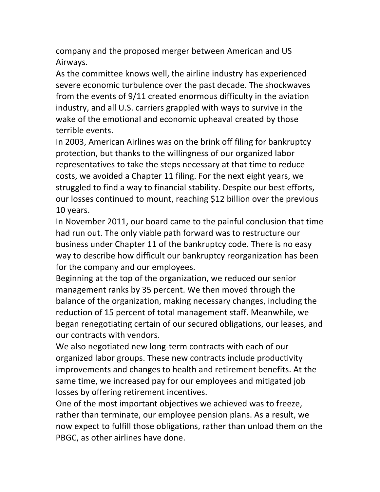company and the proposed merger between American and US Airways.

As the committee knows well, the airline industry has experienced severe economic turbulence over the past decade. The shockwaves from the events of  $9/11$  created enormous difficulty in the aviation industry, and all U.S. carriers grappled with ways to survive in the wake of the emotional and economic upheaval created by those terrible events.

In 2003, American Airlines was on the brink off filing for bankruptcy protection, but thanks to the willingness of our organized labor representatives to take the steps necessary at that time to reduce costs, we avoided a Chapter 11 filing. For the next eight years, we struggled to find a way to financial stability. Despite our best efforts, our losses continued to mount, reaching \$12 billion over the previous 10 years.

In November 2011, our board came to the painful conclusion that time had run out. The only viable path forward was to restructure our business under Chapter 11 of the bankruptcy code. There is no easy way to describe how difficult our bankruptcy reorganization has been for the company and our employees.

Beginning at the top of the organization, we reduced our senior management ranks by 35 percent. We then moved through the balance of the organization, making necessary changes, including the reduction of 15 percent of total management staff. Meanwhile, we began renegotiating certain of our secured obligations, our leases, and our contracts with vendors.

We also negotiated new long-term contracts with each of our organized labor groups. These new contracts include productivity improvements and changes to health and retirement benefits. At the same time, we increased pay for our employees and mitigated job losses by offering retirement incentives.

One of the most important objectives we achieved was to freeze, rather than terminate, our employee pension plans. As a result, we now expect to fulfill those obligations, rather than unload them on the PBGC, as other airlines have done.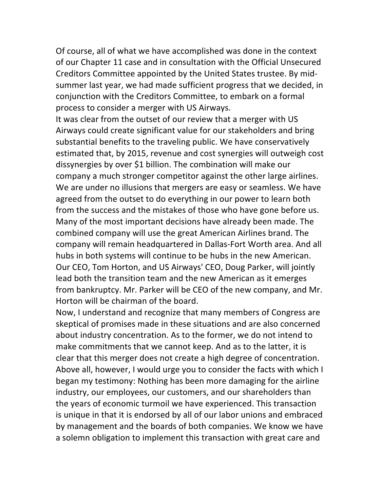Of course, all of what we have accomplished was done in the context of our Chapter 11 case and in consultation with the Official Unsecured Creditors Committee appointed by the United States trustee. By midsummer last year, we had made sufficient progress that we decided, in conjunction with the Creditors Committee, to embark on a formal process to consider a merger with US Airways.

It was clear from the outset of our review that a merger with US Airways could create significant value for our stakeholders and bring substantial benefits to the traveling public. We have conservatively estimated that, by 2015, revenue and cost synergies will outweigh cost dissynergies by over \$1 billion. The combination will make our company a much stronger competitor against the other large airlines. We are under no illusions that mergers are easy or seamless. We have agreed from the outset to do everything in our power to learn both from the success and the mistakes of those who have gone before us. Many of the most important decisions have already been made. The combined company will use the great American Airlines brand. The company will remain headquartered in Dallas-Fort Worth area. And all hubs in both systems will continue to be hubs in the new American. Our CEO, Tom Horton, and US Airways' CEO, Doug Parker, will jointly lead both the transition team and the new American as it emerges from bankruptcy. Mr. Parker will be CEO of the new company, and Mr. Horton will be chairman of the board.

Now, I understand and recognize that many members of Congress are skeptical of promises made in these situations and are also concerned about industry concentration. As to the former, we do not intend to make commitments that we cannot keep. And as to the latter, it is clear that this merger does not create a high degree of concentration. Above all, however, I would urge you to consider the facts with which I began my testimony: Nothing has been more damaging for the airline industry, our employees, our customers, and our shareholders than the years of economic turmoil we have experienced. This transaction is unique in that it is endorsed by all of our labor unions and embraced by management and the boards of both companies. We know we have a solemn obligation to implement this transaction with great care and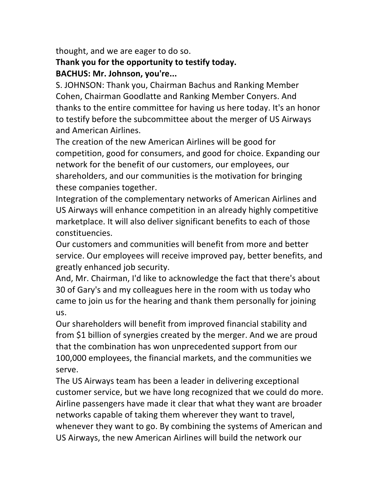thought, and we are eager to do so.

## Thank you for the opportunity to testify today. **BACHUS: Mr. Johnson, you're...**

S. JOHNSON: Thank you, Chairman Bachus and Ranking Member Cohen, Chairman Goodlatte and Ranking Member Conyers. And thanks to the entire committee for having us here today. It's an honor to testify before the subcommittee about the merger of US Airways and American Airlines.

The creation of the new American Airlines will be good for competition, good for consumers, and good for choice. Expanding our network for the benefit of our customers, our employees, our shareholders, and our communities is the motivation for bringing these companies together.

Integration of the complementary networks of American Airlines and US Airways will enhance competition in an already highly competitive marketplace. It will also deliver significant benefits to each of those constituencies.

Our customers and communities will benefit from more and better service. Our employees will receive improved pay, better benefits, and greatly enhanced job security.

And, Mr. Chairman, I'd like to acknowledge the fact that there's about 30 of Gary's and my colleagues here in the room with us today who came to join us for the hearing and thank them personally for joining us.

Our shareholders will benefit from improved financial stability and from \$1 billion of synergies created by the merger. And we are proud that the combination has won unprecedented support from our 100,000 employees, the financial markets, and the communities we serve.

The US Airways team has been a leader in delivering exceptional customer service, but we have long recognized that we could do more. Airline passengers have made it clear that what they want are broader networks capable of taking them wherever they want to travel, whenever they want to go. By combining the systems of American and US Airways, the new American Airlines will build the network our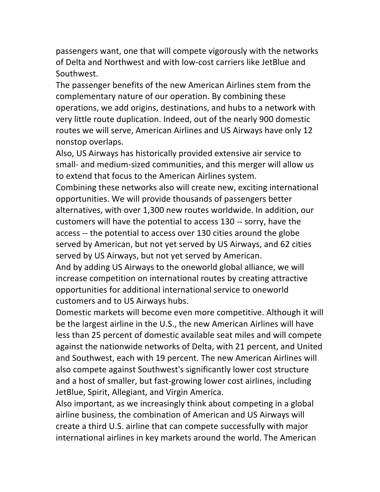passengers want, one that will compete vigorously with the networks of Delta and Northwest and with low-cost carriers like JetBlue and Southwest.

The passenger benefits of the new American Airlines stem from the complementary nature of our operation. By combining these operations, we add origins, destinations, and hubs to a network with very little route duplication. Indeed, out of the nearly 900 domestic routes we will serve, American Airlines and US Airways have only 12 nonstop overlaps.

Also, US Airways has historically provided extensive air service to small- and medium-sized communities, and this merger will allow us to extend that focus to the American Airlines system.

Combining these networks also will create new, exciting international opportunities. We will provide thousands of passengers better alternatives, with over 1,300 new routes worldwide. In addition, our customers will have the potential to access 130 -- sorry, have the access -- the potential to access over 130 cities around the globe served by American, but not yet served by US Airways, and 62 cities served by US Airways, but not yet served by American.

And by adding US Airways to the oneworld global alliance, we will increase competition on international routes by creating attractive opportunities for additional international service to oneworld customers and to US Airways hubs.

Domestic markets will become even more competitive. Although it will be the largest airline in the U.S., the new American Airlines will have less than 25 percent of domestic available seat miles and will compete against the nationwide networks of Delta, with 21 percent, and United and Southwest, each with 19 percent. The new American Airlines will also compete against Southwest's significantly lower cost structure and a host of smaller, but fast-growing lower cost airlines, including JetBlue, Spirit, Allegiant, and Virgin America.

Also important, as we increasingly think about competing in a global airline business, the combination of American and US Airways will create a third U.S. airline that can compete successfully with major international airlines in key markets around the world. The American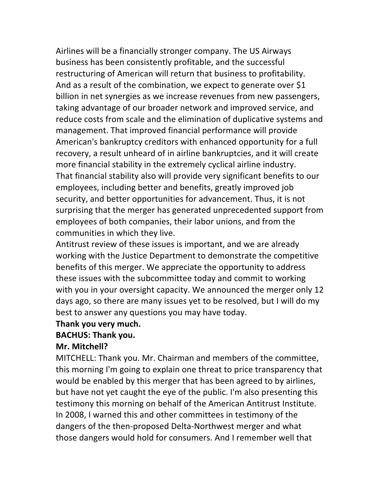Airlines will be a financially stronger company. The US Airways business has been consistently profitable, and the successful restructuring of American will return that business to profitability. And as a result of the combination, we expect to generate over \$1 billion in net synergies as we increase revenues from new passengers, taking advantage of our broader network and improved service, and reduce costs from scale and the elimination of duplicative systems and management. That improved financial performance will provide American's bankruptcy creditors with enhanced opportunity for a full recovery, a result unheard of in airline bankruptcies, and it will create more financial stability in the extremely cyclical airline industry. That financial stability also will provide very significant benefits to our employees, including better and benefits, greatly improved job security, and better opportunities for advancement. Thus, it is not surprising that the merger has generated unprecedented support from employees of both companies, their labor unions, and from the communities in which they live.

Antitrust review of these issues is important, and we are already working with the Justice Department to demonstrate the competitive benefits of this merger. We appreciate the opportunity to address these issues with the subcommittee today and commit to working with you in your oversight capacity. We announced the merger only 12 days ago, so there are many issues yet to be resolved, but I will do my best to answer any questions you may have today.

#### **Thank!you!very!much.**

#### **BACHUS: Thank you.**

#### Mr. Mitchell?

MITCHELL: Thank you. Mr. Chairman and members of the committee, this morning I'm going to explain one threat to price transparency that would be enabled by this merger that has been agreed to by airlines, but have not yet caught the eye of the public. I'm also presenting this testimony this morning on behalf of the American Antitrust Institute. In 2008, I warned this and other committees in testimony of the dangers of the then-proposed Delta-Northwest merger and what those dangers would hold for consumers. And I remember well that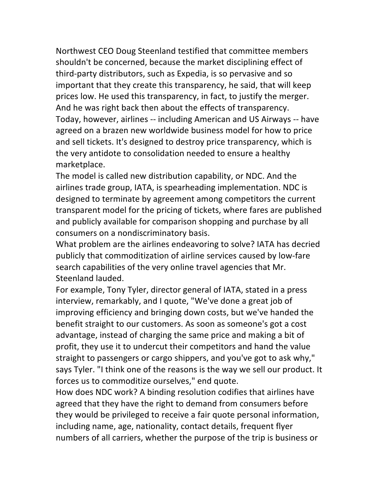Northwest CEO Doug Steenland testified that committee members shouldn't be concerned, because the market disciplining effect of third-party distributors, such as Expedia, is so pervasive and so important that they create this transparency, he said, that will keep prices low. He used this transparency, in fact, to justify the merger. And he was right back then about the effects of transparency. Today, however, airlines -- including American and US Airways -- have agreed on a brazen new worldwide business model for how to price and sell tickets. It's designed to destroy price transparency, which is the very antidote to consolidation needed to ensure a healthy marketplace.

The model is called new distribution capability, or NDC. And the airlines trade group, IATA, is spearheading implementation. NDC is designed to terminate by agreement among competitors the current transparent model for the pricing of tickets, where fares are published and publicly available for comparison shopping and purchase by all consumers on a nondiscriminatory basis.

What problem are the airlines endeavoring to solve? IATA has decried publicly that commoditization of airline services caused by low-fare search capabilities of the very online travel agencies that Mr. Steenland lauded.

For example, Tony Tyler, director general of IATA, stated in a press interview, remarkably, and I quote, "We've done a great job of improving efficiency and bringing down costs, but we've handed the benefit straight to our customers. As soon as someone's got a cost advantage, instead of charging the same price and making a bit of profit, they use it to undercut their competitors and hand the value straight to passengers or cargo shippers, and you've got to ask why," says Tyler. "I think one of the reasons is the way we sell our product. It forces us to commoditize ourselves," end quote.

How does NDC work? A binding resolution codifies that airlines have agreed that they have the right to demand from consumers before they would be privileged to receive a fair quote personal information, including name, age, nationality, contact details, frequent flyer numbers of all carriers, whether the purpose of the trip is business or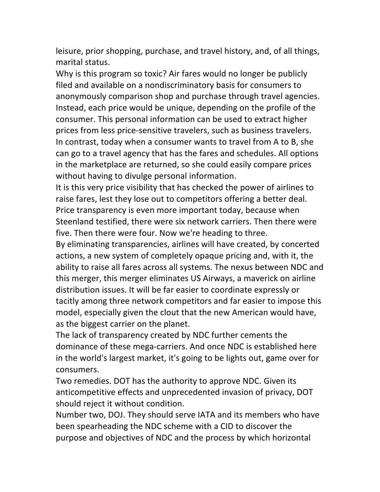leisure, prior shopping, purchase, and travel history, and, of all things, marital status.

Why is this program so toxic? Air fares would no longer be publicly filed and available on a nondiscriminatory basis for consumers to anonymously comparison shop and purchase through travel agencies. Instead, each price would be unique, depending on the profile of the consumer. This personal information can be used to extract higher prices from less price-sensitive travelers, such as business travelers. In contrast, today when a consumer wants to travel from A to B, she can go to a travel agency that has the fares and schedules. All options in the marketplace are returned, so she could easily compare prices without having to divulge personal information.

It is this very price visibility that has checked the power of airlines to raise fares, lest they lose out to competitors offering a better deal. Price transparency is even more important today, because when Steenland testified, there were six network carriers. Then there were five. Then there were four. Now we're heading to three.

By eliminating transparencies, airlines will have created, by concerted actions, a new system of completely opaque pricing and, with it, the ability to raise all fares across all systems. The nexus between NDC and this merger, this merger eliminates US Airways, a maverick on airline distribution issues. It will be far easier to coordinate expressly or tacitly among three network competitors and far easier to impose this model, especially given the clout that the new American would have, as the biggest carrier on the planet.

The lack of transparency created by NDC further cements the dominance of these mega-carriers. And once NDC is established here in the world's largest market, it's going to be lights out, game over for consumers.

Two remedies. DOT has the authority to approve NDC. Given its anticompetitive effects and unprecedented invasion of privacy, DOT should reject it without condition.

Number two, DOJ. They should serve IATA and its members who have been spearheading the NDC scheme with a CID to discover the purpose and objectives of NDC and the process by which horizontal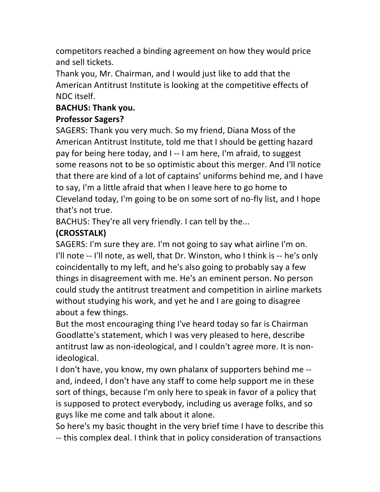competitors reached a binding agreement on how they would price and sell tickets.

Thank you, Mr. Chairman, and I would just like to add that the American Antitrust Institute is looking at the competitive effects of NDC itself.

### **BACHUS: Thank you.**

## **Professor Sagers?**

SAGERS: Thank you very much. So my friend, Diana Moss of the American Antitrust Institute, told me that I should be getting hazard pay for being here today, and I--I am here, I'm afraid, to suggest some reasons not to be so optimistic about this merger. And I'll notice that there are kind of a lot of captains' uniforms behind me, and I have to say, I'm a little afraid that when I leave here to go home to Cleveland today, I'm going to be on some sort of no-fly list, and I hope that's not true.

BACHUS: They're all very friendly. I can tell by the...

# **(CROSSTALK)**

SAGERS: I'm sure they are. I'm not going to say what airline I'm on. I'll note -- I'll note, as well, that Dr. Winston, who I think is -- he's only coincidentally to my left, and he's also going to probably say a few things in disagreement with me. He's an eminent person. No person could study the antitrust treatment and competition in airline markets without studying his work, and yet he and I are going to disagree about a few things.

But the most encouraging thing I've heard today so far is Chairman Goodlatte's statement, which I was very pleased to here, describe antitrust law as non-ideological, and I couldn't agree more. It is nonideological.

I don't have, you know, my own phalanx of supporters behind me -and, indeed, I don't have any staff to come help support me in these sort of things, because I'm only here to speak in favor of a policy that is supposed to protect everybody, including us average folks, and so guys like me come and talk about it alone.

So here's my basic thought in the very brief time I have to describe this -- this complex deal. I think that in policy consideration of transactions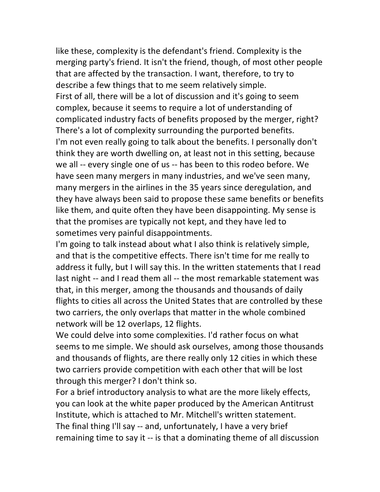like these, complexity is the defendant's friend. Complexity is the merging party's friend. It isn't the friend, though, of most other people that are affected by the transaction. I want, therefore, to try to describe a few things that to me seem relatively simple. First of all, there will be a lot of discussion and it's going to seem complex, because it seems to require a lot of understanding of complicated industry facts of benefits proposed by the merger, right? There's a lot of complexity surrounding the purported benefits. I'm not even really going to talk about the benefits. I personally don't think they are worth dwelling on, at least not in this setting, because we all -- every single one of us -- has been to this rodeo before. We have seen many mergers in many industries, and we've seen many, many mergers in the airlines in the 35 years since deregulation, and they have always been said to propose these same benefits or benefits like them, and quite often they have been disappointing. My sense is that the promises are typically not kept, and they have led to sometimes very painful disappointments.

I'm going to talk instead about what I also think is relatively simple, and that is the competitive effects. There isn't time for me really to address it fully, but I will say this. In the written statements that I read last night -- and I read them all -- the most remarkable statement was that, in this merger, among the thousands and thousands of daily flights to cities all across the United States that are controlled by these two carriers, the only overlaps that matter in the whole combined network will be 12 overlaps, 12 flights.

We could delve into some complexities. I'd rather focus on what seems to me simple. We should ask ourselves, among those thousands and thousands of flights, are there really only 12 cities in which these two carriers provide competition with each other that will be lost through this merger? I don't think so.

For a brief introductory analysis to what are the more likely effects, you can look at the white paper produced by the American Antitrust Institute, which is attached to Mr. Mitchell's written statement. The final thing I'll say -- and, unfortunately, I have a very brief remaining time to say it -- is that a dominating theme of all discussion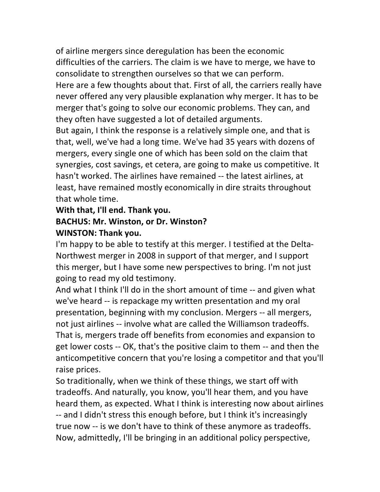of airline mergers since deregulation has been the economic difficulties of the carriers. The claim is we have to merge, we have to consolidate to strengthen ourselves so that we can perform. Here are a few thoughts about that. First of all, the carriers really have never offered any very plausible explanation why merger. It has to be merger that's going to solve our economic problems. They can, and they often have suggested a lot of detailed arguments.

But again, I think the response is a relatively simple one, and that is that, well, we've had a long time. We've had 35 years with dozens of mergers, every single one of which has been sold on the claim that synergies, cost savings, et cetera, are going to make us competitive. It hasn't worked. The airlines have remained -- the latest airlines, at least, have remained mostly economically in dire straits throughout that whole time.

### **With that, I'll end. Thank you.**

### **BACHUS: Mr. Winston, or Dr. Winston? WINSTON: Thank you.**

I'm happy to be able to testify at this merger. I testified at the Delta-Northwest merger in 2008 in support of that merger, and I support this merger, but I have some new perspectives to bring. I'm not just going to read my old testimony.

And what I think I'll do in the short amount of time -- and given what we've heard -- is repackage my written presentation and my oral presentation, beginning with my conclusion. Mergers -- all mergers, not just airlines -- involve what are called the Williamson tradeoffs. That is, mergers trade off benefits from economies and expansion to get lower costs -- OK, that's the positive claim to them -- and then the anticompetitive concern that you're losing a competitor and that you'll raise prices.

So traditionally, when we think of these things, we start off with tradeoffs. And naturally, you know, you'll hear them, and you have heard them, as expected. What I think is interesting now about airlines -- and I didn't stress this enough before, but I think it's increasingly true now -- is we don't have to think of these anymore as tradeoffs. Now, admittedly, I'll be bringing in an additional policy perspective,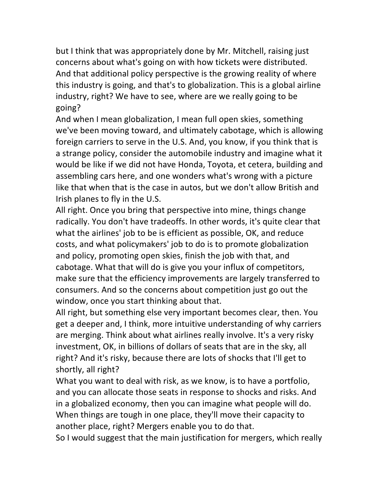but I think that was appropriately done by Mr. Mitchell, raising just concerns about what's going on with how tickets were distributed. And that additional policy perspective is the growing reality of where this industry is going, and that's to globalization. This is a global airline industry, right? We have to see, where are we really going to be going?

And when I mean globalization, I mean full open skies, something we've been moving toward, and ultimately cabotage, which is allowing foreign carriers to serve in the U.S. And, you know, if you think that is a strange policy, consider the automobile industry and imagine what it would be like if we did not have Honda, Toyota, et cetera, building and assembling cars here, and one wonders what's wrong with a picture like that when that is the case in autos, but we don't allow British and Irish planes to fly in the U.S.

All right. Once you bring that perspective into mine, things change radically. You don't have tradeoffs. In other words, it's quite clear that what the airlines' job to be is efficient as possible, OK, and reduce costs, and what policymakers' job to do is to promote globalization and policy, promoting open skies, finish the job with that, and cabotage. What that will do is give you your influx of competitors, make sure that the efficiency improvements are largely transferred to consumers. And so the concerns about competition just go out the window, once you start thinking about that.

All right, but something else very important becomes clear, then. You get a deeper and, I think, more intuitive understanding of why carriers are merging. Think about what airlines really involve. It's a very risky investment, OK, in billions of dollars of seats that are in the sky, all right? And it's risky, because there are lots of shocks that I'll get to shortly, all right?

What you want to deal with risk, as we know, is to have a portfolio, and you can allocate those seats in response to shocks and risks. And in a globalized economy, then you can imagine what people will do. When things are tough in one place, they'll move their capacity to another place, right? Mergers enable you to do that.

So I would suggest that the main justification for mergers, which really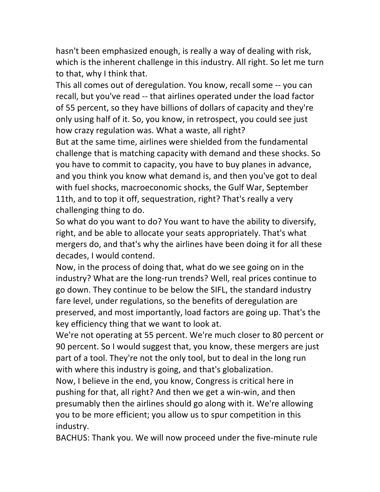hasn't been emphasized enough, is really a way of dealing with risk, which is the inherent challenge in this industry. All right. So let me turn to that, why I think that.

This all comes out of deregulation. You know, recall some -- you can recall, but you've read -- that airlines operated under the load factor of 55 percent, so they have billions of dollars of capacity and they're only using half of it. So, you know, in retrospect, you could see just how crazy regulation was. What a waste, all right?

But at the same time, airlines were shielded from the fundamental challenge that is matching capacity with demand and these shocks. So you have to commit to capacity, you have to buy planes in advance, and you think you know what demand is, and then you've got to deal with fuel shocks, macroeconomic shocks, the Gulf War, September 11th, and to top it off, sequestration, right? That's really a very challenging thing to do.

So what do you want to do? You want to have the ability to diversify, right, and be able to allocate your seats appropriately. That's what mergers do, and that's why the airlines have been doing it for all these decades, I would contend.

Now, in the process of doing that, what do we see going on in the industry? What are the long-run trends? Well, real prices continue to go down. They continue to be below the SIFL, the standard industry fare level, under regulations, so the benefits of deregulation are preserved, and most importantly, load factors are going up. That's the key efficiency thing that we want to look at.

We're not operating at 55 percent. We're much closer to 80 percent or 90 percent. So I would suggest that, you know, these mergers are just part of a tool. They're not the only tool, but to deal in the long run with where this industry is going, and that's globalization.

Now, I believe in the end, you know, Congress is critical here in pushing for that, all right? And then we get a win-win, and then presumably then the airlines should go along with it. We're allowing you to be more efficient; you allow us to spur competition in this industry.

BACHUS: Thank you. We will now proceed under the five-minute rule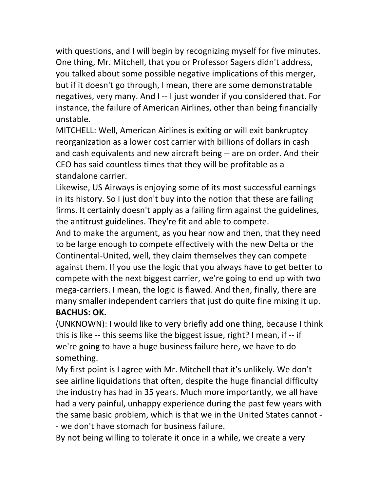with questions, and I will begin by recognizing myself for five minutes. One thing, Mr. Mitchell, that you or Professor Sagers didn't address, you talked about some possible negative implications of this merger, but if it doesn't go through, I mean, there are some demonstratable negatives, very many. And I -- I just wonder if you considered that. For instance, the failure of American Airlines, other than being financially unstable.

MITCHELL: Well, American Airlines is exiting or will exit bankruptcy reorganization as a lower cost carrier with billions of dollars in cash and cash equivalents and new aircraft being -- are on order. And their CEO has said countless times that they will be profitable as a standalone carrier.

Likewise, US Airways is enjoying some of its most successful earnings in its history. So I just don't buy into the notion that these are failing firms. It certainly doesn't apply as a failing firm against the guidelines, the antitrust guidelines. They're fit and able to compete.

And to make the argument, as you hear now and then, that they need to be large enough to compete effectively with the new Delta or the Continental-United, well, they claim themselves they can compete against them. If you use the logic that you always have to get better to compete with the next biggest carrier, we're going to end up with two mega-carriers. I mean, the logic is flawed. And then, finally, there are many smaller independent carriers that just do quite fine mixing it up. **BACHUS: OK.** 

(UNKNOWN): I would like to very briefly add one thing, because I think this is like -- this seems like the biggest issue, right? I mean, if -- if we're going to have a huge business failure here, we have to do something.

My first point is I agree with Mr. Mitchell that it's unlikely. We don't see airline liquidations that often, despite the huge financial difficulty the industry has had in 35 years. Much more importantly, we all have had a very painful, unhappy experience during the past few years with the same basic problem, which is that we in the United States cannot -- we don't have stomach for business failure.

By not being willing to tolerate it once in a while, we create a very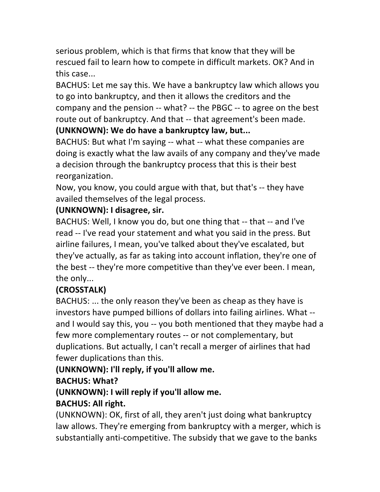serious problem, which is that firms that know that they will be rescued fail to learn how to compete in difficult markets. OK? And in this case...

BACHUS: Let me say this. We have a bankruptcy law which allows you to go into bankruptcy, and then it allows the creditors and the company and the pension  $-$  what?  $-$  the PBGC  $-$  to agree on the best route out of bankruptcy. And that -- that agreement's been made.

# **(UNKNOWN): We do have a bankruptcy law, but...**

BACHUS: But what I'm saying -- what -- what these companies are doing is exactly what the law avails of any company and they've made a decision through the bankruptcy process that this is their best reorganization.

Now, you know, you could argue with that, but that's -- they have availed themselves of the legal process.

## **(UNKNOWN): I disagree, sir.**

BACHUS: Well, I know you do, but one thing that -- that -- and I've read -- I've read your statement and what you said in the press. But airline failures, I mean, you've talked about they've escalated, but they've actually, as far as taking into account inflation, they're one of the best -- they're more competitive than they've ever been. I mean, the only...

# **(CROSSTALK)**

BACHUS: ... the only reason they've been as cheap as they have is investors have pumped billions of dollars into failing airlines. What -and I would say this, you -- you both mentioned that they maybe had a few more complementary routes -- or not complementary, but duplications. But actually, I can't recall a merger of airlines that had fewer duplications than this.

**(UNKNOWN): I'll reply, if you'll allow me.** 

# **BACHUS: What?**

# (UNKNOWN): I will reply if you'll allow me.

# **BACHUS: All right.**

(UNKNOWN): OK, first of all, they aren't just doing what bankruptcy law allows. They're emerging from bankruptcy with a merger, which is substantially anti-competitive. The subsidy that we gave to the banks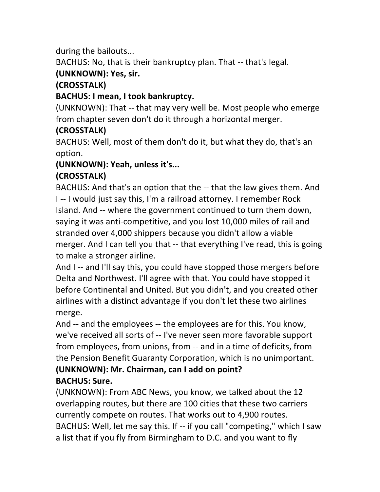during the bailouts...

BACHUS: No, that is their bankruptcy plan. That -- that's legal.

# **(UNKNOWN): Yes, sir.**

# **(CROSSTALK)**

## **BACHUS: I mean, I took bankruptcy.**

(UNKNOWN): That -- that may very well be. Most people who emerge from chapter seven don't do it through a horizontal merger.

# **(CROSSTALK)**

BACHUS: Well, most of them don't do it, but what they do, that's an option.

### **(UNKNOWN): Yeah, unless it's... (CROSSTALK)**

BACHUS: And that's an option that the -- that the law gives them. And I -- I would just say this, I'm a railroad attorney. I remember Rock Island. And -- where the government continued to turn them down, saying it was anti-competitive, and you lost 10,000 miles of rail and stranded over 4,000 shippers because you didn't allow a viable merger. And I can tell you that -- that everything I've read, this is going to make a stronger airline.

And I -- and I'll say this, you could have stopped those mergers before Delta and Northwest. I'll agree with that. You could have stopped it before Continental and United. But you didn't, and you created other airlines with a distinct advantage if you don't let these two airlines merge.

And -- and the employees -- the employees are for this. You know, we've received all sorts of -- I've never seen more favorable support from employees, from unions, from -- and in a time of deficits, from the Pension Benefit Guaranty Corporation, which is no unimportant. **(UNKNOWN): Mr. Chairman, can I add on point?** 

# **BACHUS: Sure.**

(UNKNOWN): From ABC News, you know, we talked about the 12 overlapping routes, but there are 100 cities that these two carriers currently compete on routes. That works out to 4,900 routes. BACHUS: Well, let me say this. If -- if you call "competing," which I saw a list that if you fly from Birmingham to D.C. and you want to fly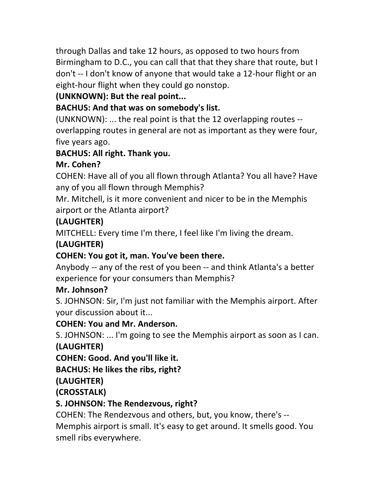through Dallas and take 12 hours, as opposed to two hours from Birmingham to D.C., you can call that that they share that route, but I don't -- I don't know of anyone that would take a 12-hour flight or an eight-hour flight when they could go nonstop.

# **(UNKNOWN): But the real point...**

# **BACHUS: And that was on somebody's list.**

(UNKNOWN): ... the real point is that the 12 overlapping routes  $$ overlapping routes in general are not as important as they were four, five years ago.

## **BACHUS: All right. Thank you.**

# **Mr.!Cohen?**

COHEN: Have all of you all flown through Atlanta? You all have? Have any of you all flown through Memphis?

Mr. Mitchell, is it more convenient and nicer to be in the Memphis airport or the Atlanta airport?

# **(LAUGHTER)**

MITCHELL: Every time I'm there, I feel like I'm living the dream.

# **(LAUGHTER)**

# **COHEN: You got it, man. You've been there.**

Anybody -- any of the rest of you been -- and think Atlanta's a better experience for your consumers than Memphis?

# **Mr.!Johnson?**

S. JOHNSON: Sir, I'm just not familiar with the Memphis airport. After your discussion about it...

## **COHEN: You and Mr. Anderson.**

S. JOHNSON: ... I'm going to see the Memphis airport as soon as I can. **(LAUGHTER)**

**COHEN: Good. And you'll like it.** 

## **BACHUS: He likes the ribs, right?**

**(LAUGHTER)**

**(CROSSTALK)**

## **S. JOHNSON: The Rendezvous, right?**

COHEN: The Rendezvous and others, but, you know, there's --Memphis airport is small. It's easy to get around. It smells good. You smell ribs everywhere.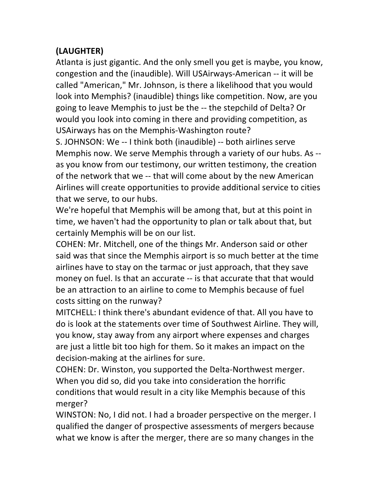## **(LAUGHTER)**

Atlanta is just gigantic. And the only smell you get is maybe, you know, congestion and the (inaudible). Will USAirways-American -- it will be called "American," Mr. Johnson, is there a likelihood that you would look into Memphis? (inaudible) things like competition. Now, are you going to leave Memphis to just be the -- the stepchild of Delta? Or would you look into coming in there and providing competition, as USAirways has on the Memphis-Washington route?

S. JOHNSON: We -- I think both (inaudible) -- both airlines serve Memphis now. We serve Memphis through a variety of our hubs. As -as you know from our testimony, our written testimony, the creation of the network that we -- that will come about by the new American Airlines will create opportunities to provide additional service to cities that we serve, to our hubs.

We're hopeful that Memphis will be among that, but at this point in time, we haven't had the opportunity to plan or talk about that, but certainly Memphis will be on our list.

COHEN: Mr. Mitchell, one of the things Mr. Anderson said or other said was that since the Memphis airport is so much better at the time airlines have to stay on the tarmac or just approach, that they save money on fuel. Is that an accurate -- is that accurate that that would be an attraction to an airline to come to Memphis because of fuel costs sitting on the runway?

MITCHELL: I think there's abundant evidence of that. All you have to do is look at the statements over time of Southwest Airline. They will, you know, stay away from any airport where expenses and charges are just a little bit too high for them. So it makes an impact on the decision-making at the airlines for sure.

COHEN: Dr. Winston, you supported the Delta-Northwest merger. When you did so, did you take into consideration the horrific conditions that would result in a city like Memphis because of this merger?

WINSTON: No, I did not. I had a broader perspective on the merger. I qualified the danger of prospective assessments of mergers because what we know is after the merger, there are so many changes in the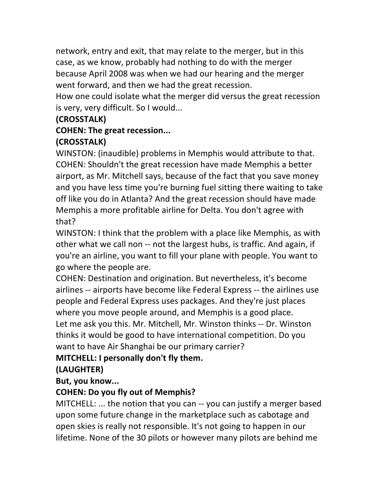network, entry and exit, that may relate to the merger, but in this case, as we know, probably had nothing to do with the merger because April 2008 was when we had our hearing and the merger went forward, and then we had the great recession.

How one could isolate what the merger did versus the great recession is very, very difficult. So I would...

## **(CROSSTALK)**

### **COHEN: The great recession...**

### **(CROSSTALK)**

WINSTON: (inaudible) problems in Memphis would attribute to that. COHEN: Shouldn't the great recession have made Memphis a better airport, as Mr. Mitchell says, because of the fact that you save money and you have less time you're burning fuel sitting there waiting to take off like you do in Atlanta? And the great recession should have made Memphis a more profitable airline for Delta. You don't agree with that?

WINSTON: I think that the problem with a place like Memphis, as with other what we call non -- not the largest hubs, is traffic. And again, if you're an airline, you want to fill your plane with people. You want to go where the people are.

COHEN: Destination and origination. But nevertheless, it's become airlines -- airports have become like Federal Express -- the airlines use people and Federal Express uses packages. And they're just places where you move people around, and Memphis is a good place. Let me ask you this. Mr. Mitchell, Mr. Winston thinks -- Dr. Winston thinks it would be good to have international competition. Do you want to have Air Shanghai be our primary carrier?

## **MITCHELL: I personally don't fly them.**

## **(LAUGHTER)**

But, you know...

### **COHEN: Do you fly out of Memphis?**

MITCHELL:  $\ldots$  the notion that you can  $\cdot\cdot$  you can justify a merger based upon some future change in the marketplace such as cabotage and open skies is really not responsible. It's not going to happen in our lifetime. None of the 30 pilots or however many pilots are behind me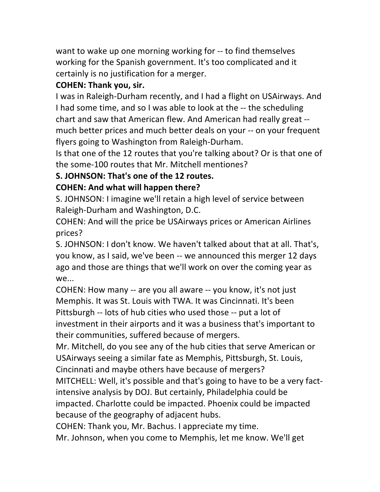want to wake up one morning working for -- to find themselves working for the Spanish government. It's too complicated and it certainly is no justification for a merger.

### **COHEN: Thank you, sir.**

I was in Raleigh-Durham recently, and I had a flight on USAirways. And I had some time, and so I was able to look at the -- the scheduling chart and saw that American flew. And American had really great -much better prices and much better deals on your -- on your frequent flyers going to Washington from Raleigh-Durham.

Is that one of the 12 routes that you're talking about? Or is that one of the some-100 routes that Mr. Mitchell mentiones?

### **S. JOHNSON: That's one of the 12 routes.**

### **COHEN: And what will happen there?**

S. JOHNSON: I imagine we'll retain a high level of service between Raleigh-Durham and Washington, D.C.

COHEN: And will the price be USAirways prices or American Airlines prices?

S. JOHNSON: I don't know. We haven't talked about that at all. That's, you know, as I said, we've been -- we announced this merger 12 days ago and those are things that we'll work on over the coming year as we...

COHEN: How many -- are you all aware -- you know, it's not just Memphis. It was St. Louis with TWA. It was Cincinnati. It's been Pittsburgh -- lots of hub cities who used those -- put a lot of investment in their airports and it was a business that's important to their communities, suffered because of mergers.

Mr. Mitchell, do you see any of the hub cities that serve American or USAirways seeing a similar fate as Memphis, Pittsburgh, St. Louis, Cincinnati and maybe others have because of mergers?

MITCHELL: Well, it's possible and that's going to have to be a very factintensive analysis by DOJ. But certainly, Philadelphia could be impacted. Charlotte could be impacted. Phoenix could be impacted because of the geography of adjacent hubs.

COHEN: Thank you, Mr. Bachus. I appreciate my time.

Mr. Johnson, when you come to Memphis, let me know. We'll get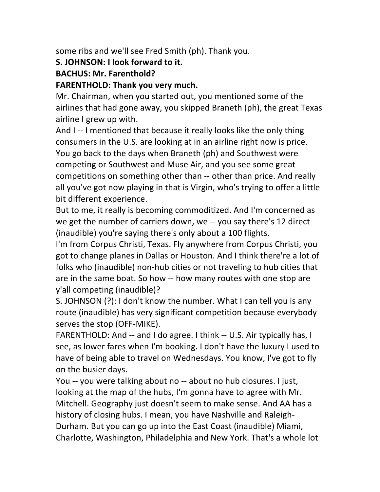some ribs and we'll see Fred Smith (ph). Thank you.

#### **S. JOHNSON: I look forward to it.**

#### **BACHUS: Mr. Farenthold?**

#### **FARENTHOLD: Thank you very much.**

Mr. Chairman, when you started out, you mentioned some of the airlines that had gone away, you skipped Braneth (ph), the great Texas airline I grew up with.

And I -- I mentioned that because it really looks like the only thing consumers in the U.S. are looking at in an airline right now is price. You go back to the days when Braneth (ph) and Southwest were competing or Southwest and Muse Air, and you see some great competitions on something other than -- other than price. And really all you've got now playing in that is Virgin, who's trying to offer a little bit different experience.

But to me, it really is becoming commoditized. And I'm concerned as we get the number of carriers down, we -- you say there's 12 direct (inaudible) you're saying there's only about a 100 flights.

I'm from Corpus Christi, Texas. Fly anywhere from Corpus Christi, you got to change planes in Dallas or Houston. And I think there're a lot of folks who (inaudible) non-hub cities or not traveling to hub cities that are in the same boat. So how -- how many routes with one stop are y'all competing (inaudible)?

S. JOHNSON (?): I don't know the number. What I can tell you is any route (inaudible) has very significant competition because everybody serves the stop (OFF-MIKE).

FARENTHOLD: And -- and I do agree. I think -- U.S. Air typically has, I see, as lower fares when I'm booking. I don't have the luxury I used to have of being able to travel on Wednesdays. You know, I've got to fly on the busier days.

You -- you were talking about no -- about no hub closures. I just, looking at the map of the hubs, I'm gonna have to agree with Mr. Mitchell. Geography just doesn't seem to make sense. And AA has a history of closing hubs. I mean, you have Nashville and Raleigh-Durham. But you can go up into the East Coast (inaudible) Miami, Charlotte, Washington, Philadelphia and New York. That's a whole lot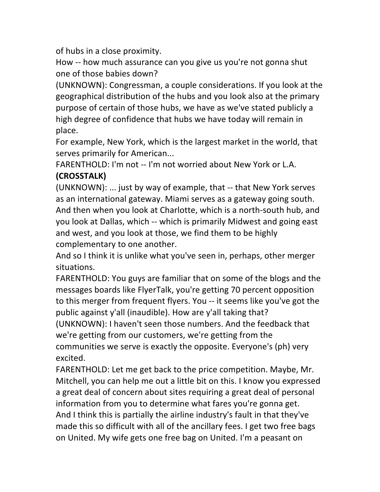of hubs in a close proximity.

How -- how much assurance can you give us you're not gonna shut one of those babies down?

(UNKNOWN): Congressman, a couple considerations. If you look at the geographical distribution of the hubs and you look also at the primary purpose of certain of those hubs, we have as we've stated publicly a high degree of confidence that hubs we have today will remain in place.

For example, New York, which is the largest market in the world, that serves primarily for American...

FARENTHOLD: I'm not -- I'm not worried about New York or L.A. **(CROSSTALK)**

(UNKNOWN):  $\ldots$  just by way of example, that  $-$  that New York serves as an international gateway. Miami serves as a gateway going south. And then when you look at Charlotte, which is a north-south hub, and you look at Dallas, which -- which is primarily Midwest and going east and west, and you look at those, we find them to be highly complementary to one another.

And so I think it is unlike what you've seen in, perhaps, other merger situations.

FARENTHOLD: You guys are familiar that on some of the blogs and the messages boards like FlyerTalk, you're getting 70 percent opposition to this merger from frequent flyers. You -- it seems like you've got the public against y'all (inaudible). How are y'all taking that? (UNKNOWN): I haven't seen those numbers. And the feedback that we're getting from our customers, we're getting from the communities we serve is exactly the opposite. Everyone's (ph) very excited.

FARENTHOLD: Let me get back to the price competition. Maybe, Mr. Mitchell, you can help me out a little bit on this. I know you expressed a great deal of concern about sites requiring a great deal of personal information from you to determine what fares you're gonna get. And I think this is partially the airline industry's fault in that they've made this so difficult with all of the ancillary fees. I get two free bags on United. My wife gets one free bag on United. I'm a peasant on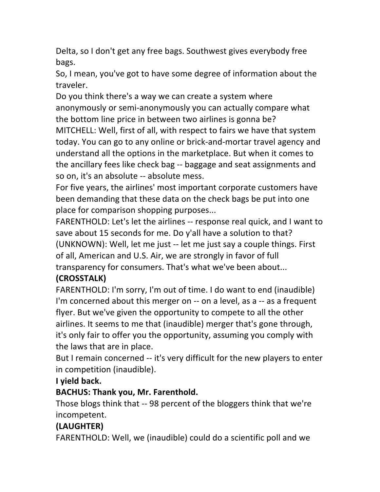Delta, so I don't get any free bags. Southwest gives everybody free bags.

So, I mean, you've got to have some degree of information about the traveler.

Do you think there's a way we can create a system where anonymously or semi-anonymously you can actually compare what the bottom line price in between two airlines is gonna be? MITCHELL: Well, first of all, with respect to fairs we have that system today. You can go to any online or brick-and-mortar travel agency and understand all the options in the marketplace. But when it comes to the ancillary fees like check bag -- baggage and seat assignments and so on, it's an absolute -- absolute mess.

For five years, the airlines' most important corporate customers have been demanding that these data on the check bags be put into one place for comparison shopping purposes...

FARENTHOLD: Let's let the airlines -- response real quick, and I want to save about 15 seconds for me. Do y'all have a solution to that? (UNKNOWN): Well, let me just -- let me just say a couple things. First of all, American and U.S. Air, we are strongly in favor of full transparency for consumers. That's what we've been about...

## **(CROSSTALK)**

FARENTHOLD: I'm sorry, I'm out of time. I do want to end (inaudible) I'm concerned about this merger on  $-$  on a level, as a  $-$  as a frequent flyer. But we've given the opportunity to compete to all the other airlines. It seems to me that (inaudible) merger that's gone through, it's only fair to offer you the opportunity, assuming you comply with the laws that are in place.

But I remain concerned -- it's very difficult for the new players to enter in competition (inaudible).

### **I** yield back.

## **BACHUS: Thank you, Mr. Farenthold.**

Those blogs think that -- 98 percent of the bloggers think that we're incompetent.

# **(LAUGHTER)**

FARENTHOLD: Well, we (inaudible) could do a scientific poll and we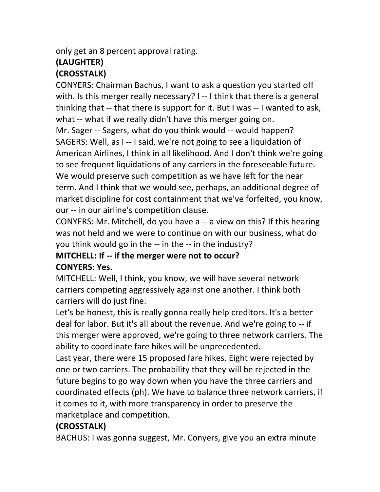only get an 8 percent approval rating.

# **(LAUGHTER)**

## **(CROSSTALK)**

CONYERS: Chairman Bachus, I want to ask a question you started off with. Is this merger really necessary? I -- I think that there is a general thinking that -- that there is support for it. But I was -- I wanted to ask, what -- what if we really didn't have this merger going on. Mr. Sager -- Sagers, what do you think would -- would happen?

SAGERS: Well, as I -- I said, we're not going to see a liquidation of American Airlines, I think in all likelihood. And I don't think we're going to see frequent liquidations of any carriers in the foreseeable future. We would preserve such competition as we have left for the near term. And I think that we would see, perhaps, an additional degree of market discipline for cost containment that we've forfeited, you know, our -- in our airline's competition clause.

CONYERS: Mr. Mitchell, do you have a -- a view on this? If this hearing was not held and we were to continue on with our business, what do you think would go in the -- in the -- in the industry?

# **MITCHELL: If -- if the merger were not to occur? CONYERS: Yes.**

MITCHELL: Well, I think, you know, we will have several network carriers competing aggressively against one another. I think both carriers will do just fine.

Let's be honest, this is really gonna really help creditors. It's a better deal for labor. But it's all about the revenue. And we're going to -- if this merger were approved, we're going to three network carriers. The ability to coordinate fare hikes will be unprecedented.

Last year, there were 15 proposed fare hikes. Eight were rejected by one or two carriers. The probability that they will be rejected in the future begins to go way down when you have the three carriers and coordinated effects (ph). We have to balance three network carriers, if it comes to it, with more transparency in order to preserve the marketplace and competition.

# **(CROSSTALK)**

BACHUS: I was gonna suggest, Mr. Conyers, give you an extra minute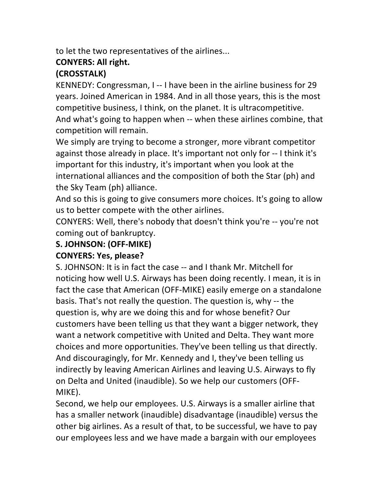to let the two representatives of the airlines...

### **CONYERS: All right.**

## **(CROSSTALK)**

KENNEDY: Congressman, I -- I have been in the airline business for 29 years. Joined American in 1984. And in all those years, this is the most competitive business, I think, on the planet. It is ultracompetitive. And what's going to happen when -- when these airlines combine, that competition will remain.

We simply are trying to become a stronger, more vibrant competitor against those already in place. It's important not only for -- I think it's important for this industry, it's important when you look at the international alliances and the composition of both the Star (ph) and the Sky Team (ph) alliance.

And so this is going to give consumers more choices. It's going to allow us to better compete with the other airlines.

CONYERS: Well, there's nobody that doesn't think you're -- you're not coming out of bankruptcy.

# **S. JOHNSON: (OFF-MIKE)**

## **CONYERS: Yes, please?**

S. JOHNSON: It is in fact the case -- and I thank Mr. Mitchell for noticing how well U.S. Airways has been doing recently. I mean, it is in fact the case that American (OFF-MIKE) easily emerge on a standalone basis. That's not really the question. The question is, why -- the question is, why are we doing this and for whose benefit? Our customers have been telling us that they want a bigger network, they want a network competitive with United and Delta. They want more choices and more opportunities. They've been telling us that directly. And discouragingly, for Mr. Kennedy and I, they've been telling us indirectly by leaving American Airlines and leaving U.S. Airways to fly on Delta and United (inaudible). So we help our customers (OFF-MIKE).

Second, we help our employees. U.S. Airways is a smaller airline that has a smaller network (inaudible) disadvantage (inaudible) versus the other big airlines. As a result of that, to be successful, we have to pay our employees less and we have made a bargain with our employees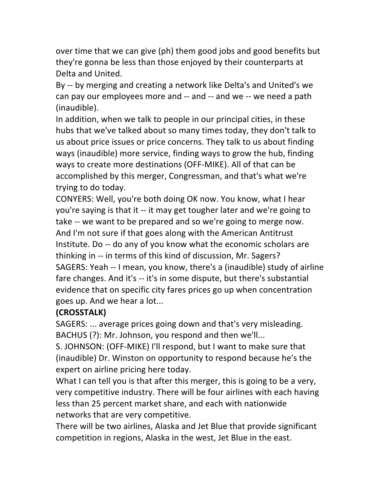over time that we can give (ph) them good jobs and good benefits but they're gonna be less than those enjoyed by their counterparts at Delta and United.

By -- by merging and creating a network like Delta's and United's we can pay our employees more and -- and -- and we -- we need a path (inaudible).

In addition, when we talk to people in our principal cities, in these hubs that we've talked about so many times today, they don't talk to us about price issues or price concerns. They talk to us about finding ways (inaudible) more service, finding ways to grow the hub, finding ways to create more destinations (OFF-MIKE). All of that can be accomplished by this merger, Congressman, and that's what we're trying to do today.

CONYERS: Well, you're both doing OK now. You know, what I hear you're saying is that it -- it may get tougher later and we're going to take -- we want to be prepared and so we're going to merge now. And I'm not sure if that goes along with the American Antitrust Institute. Do -- do any of you know what the economic scholars are thinking in -- in terms of this kind of discussion, Mr. Sagers? SAGERS: Yeah -- I mean, you know, there's a (inaudible) study of airline fare changes. And it's -- it's in some dispute, but there's substantial evidence that on specific city fares prices go up when concentration goes up. And we hear a lot...

### **(CROSSTALK)**

SAGERS: ... average prices going down and that's very misleading. BACHUS (?): Mr. Johnson, you respond and then we'll...

S. JOHNSON: (OFF-MIKE) I'll respond, but I want to make sure that (inaudible) Dr. Winston on opportunity to respond because he's the expert on airline pricing here today.

What I can tell you is that after this merger, this is going to be a very, very competitive industry. There will be four airlines with each having less than 25 percent market share, and each with nationwide networks that are very competitive.

There will be two airlines, Alaska and Jet Blue that provide significant competition in regions, Alaska in the west, Jet Blue in the east.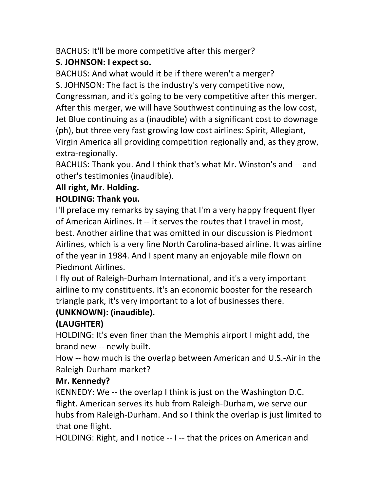BACHUS: It'll be more competitive after this merger?

# **S. JOHNSON: I expect so.**

BACHUS: And what would it be if there weren't a merger?

S. JOHNSON: The fact is the industry's very competitive now, Congressman, and it's going to be very competitive after this merger. After this merger, we will have Southwest continuing as the low cost, Jet Blue continuing as a (inaudible) with a significant cost to downage (ph), but three very fast growing low cost airlines: Spirit, Allegiant, Virgin America all providing competition regionally and, as they grow, extra-regionally.

BACHUS: Thank you. And I think that's what Mr. Winston's and -- and other's testimonies (inaudible).

# All right, Mr. Holding.

# **HOLDING: Thank you.**

I'll preface my remarks by saying that I'm a very happy frequent flyer of American Airlines. It -- it serves the routes that I travel in most, best. Another airline that was omitted in our discussion is Piedmont Airlines, which is a very fine North Carolina-based airline. It was airline of the year in 1984. And I spent many an enjoyable mile flown on Piedmont Airlines.

I fly out of Raleigh-Durham International, and it's a very important airline to my constituents. It's an economic booster for the research triangle park, it's very important to a lot of businesses there.

# (UNKNOWN): (inaudible).

# **(LAUGHTER)**

HOLDING: It's even finer than the Memphis airport I might add, the brand new -- newly built.

How -- how much is the overlap between American and U.S.-Air in the Raleigh-Durham market?

# **Mr. Kennedy?**

KENNEDY: We  $-$  the overlap I think is just on the Washington D.C. flight. American serves its hub from Raleigh-Durham, we serve our hubs from Raleigh-Durham. And so I think the overlap is just limited to that one flight.

HOLDING: Right, and I notice -- I -- that the prices on American and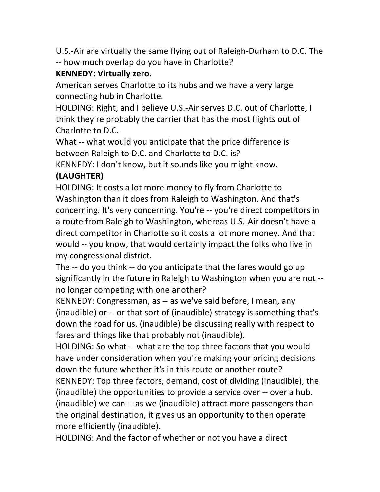U.S.-Air are virtually the same flying out of Raleigh-Durham to D.C. The -- how much overlap do you have in Charlotte?

## **KENNEDY: Virtually zero.**

American serves Charlotte to its hubs and we have a very large connecting hub in Charlotte.

HOLDING: Right, and I believe U.S.-Air serves D.C. out of Charlotte, I think they're probably the carrier that has the most flights out of Charlotte to D.C.

What -- what would you anticipate that the price difference is between Raleigh to D.C. and Charlotte to D.C. is?

KENNEDY: I don't know, but it sounds like you might know.

## **(LAUGHTER)**

HOLDING: It costs a lot more money to fly from Charlotte to Washington than it does from Raleigh to Washington. And that's concerning. It's very concerning. You're -- you're direct competitors in a route from Raleigh to Washington, whereas U.S.-Air doesn't have a direct competitor in Charlotte so it costs a lot more money. And that would -- you know, that would certainly impact the folks who live in my congressional district.

The  $-$  do you think  $-$  do you anticipate that the fares would go up significantly in the future in Raleigh to Washington when you are not -no longer competing with one another?

KENNEDY: Congressman, as -- as we've said before, I mean, any (inaudible) or -- or that sort of (inaudible) strategy is something that's down the road for us. (inaudible) be discussing really with respect to fares and things like that probably not (inaudible).

HOLDING: So what -- what are the top three factors that you would have under consideration when you're making your pricing decisions down the future whether it's in this route or another route?

KENNEDY: Top three factors, demand, cost of dividing (inaudible), the (inaudible) the opportunities to provide a service over -- over a hub. (inaudible) we can  $-$  as we (inaudible) attract more passengers than the original destination, it gives us an opportunity to then operate more efficiently (inaudible).

HOLDING: And the factor of whether or not you have a direct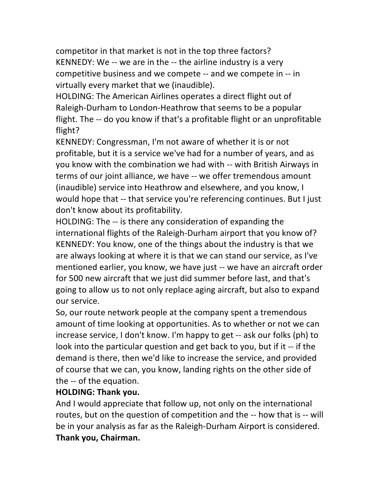competitor in that market is not in the top three factors? KENNEDY: We  $-$  we are in the  $-$  the airline industry is a very competitive business and we compete -- and we compete in -- in virtually every market that we (inaudible).

HOLDING: The American Airlines operates a direct flight out of Raleigh-Durham to London-Heathrow that seems to be a popular flight. The -- do you know if that's a profitable flight or an unprofitable flight?

KENNEDY: Congressman, I'm not aware of whether it is or not profitable, but it is a service we've had for a number of years, and as you know with the combination we had with -- with British Airways in terms of our joint alliance, we have -- we offer tremendous amount (inaudible) service into Heathrow and elsewhere, and you know, I would hope that -- that service you're referencing continues. But I just don't know about its profitability.

HOLDING: The -- is there any consideration of expanding the international flights of the Raleigh-Durham airport that you know of? KENNEDY: You know, one of the things about the industry is that we are always looking at where it is that we can stand our service, as I've mentioned earlier, you know, we have just -- we have an aircraft order for 500 new aircraft that we just did summer before last, and that's going to allow us to not only replace aging aircraft, but also to expand our service.

So, our route network people at the company spent a tremendous amount of time looking at opportunities. As to whether or not we can increase service, I don't know. I'm happy to get -- ask our folks (ph) to look into the particular question and get back to you, but if it -- if the demand is there, then we'd like to increase the service, and provided of course that we can, you know, landing rights on the other side of the -- of the equation.

### **HOLDING: Thank you.**

And I would appreciate that follow up, not only on the international routes, but on the question of competition and the -- how that is -- will be in your analysis as far as the Raleigh-Durham Airport is considered. **Thank you, Chairman.**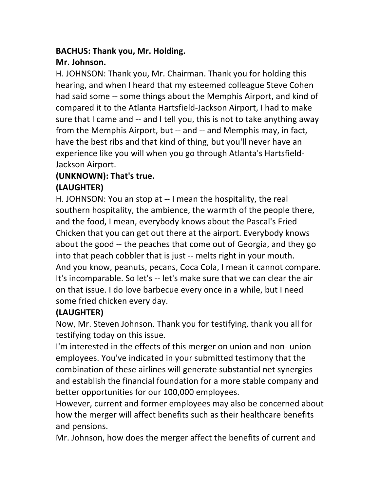## **BACHUS: Thank you, Mr. Holding.**

## **Mr.!Johnson.**

H. JOHNSON: Thank you, Mr. Chairman. Thank you for holding this hearing, and when I heard that my esteemed colleague Steve Cohen had said some -- some things about the Memphis Airport, and kind of compared it to the Atlanta Hartsfield-Jackson Airport, I had to make sure that I came and -- and I tell you, this is not to take anything away from the Memphis Airport, but -- and -- and Memphis may, in fact, have the best ribs and that kind of thing, but you'll never have an experience like you will when you go through Atlanta's Hartsfield-Jackson Airport.

## **(UNKNOWN): That's true.**

# **(LAUGHTER)**

H. JOHNSON: You an stop at -- I mean the hospitality, the real southern hospitality, the ambience, the warmth of the people there, and the food, I mean, everybody knows about the Pascal's Fried Chicken that you can get out there at the airport. Everybody knows about the good -- the peaches that come out of Georgia, and they go into that peach cobbler that is just -- melts right in your mouth. And you know, peanuts, pecans, Coca Cola, I mean it cannot compare. It's incomparable. So let's -- let's make sure that we can clear the air on that issue. I do love barbecue every once in a while, but I need some fried chicken every day.

# **(LAUGHTER)**

Now, Mr. Steven Johnson. Thank you for testifying, thank you all for testifying today on this issue.

I'm interested in the effects of this merger on union and non- union employees. You've indicated in your submitted testimony that the combination of these airlines will generate substantial net synergies and establish the financial foundation for a more stable company and better opportunities for our 100,000 employees.

However, current and former employees may also be concerned about how the merger will affect benefits such as their healthcare benefits and pensions.

Mr. Johnson, how does the merger affect the benefits of current and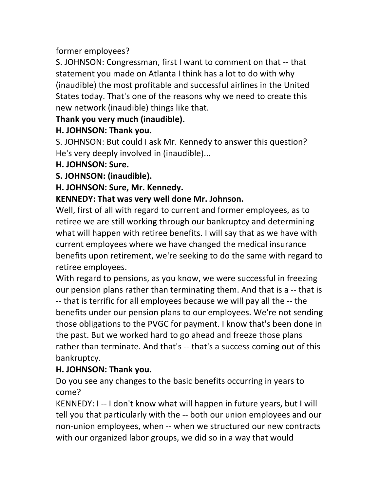former employees?

S. JOHNSON: Congressman, first I want to comment on that -- that statement you made on Atlanta I think has a lot to do with why (inaudible) the most profitable and successful airlines in the United States today. That's one of the reasons why we need to create this new network (inaudible) things like that.

## **Thank!you!very!much!(inaudible).**

## **H. JOHNSON: Thank you.**

S. JOHNSON: But could I ask Mr. Kennedy to answer this question? He's very deeply involved in (inaudible)...

### H. JOHNSON: Sure.

**S. JOHNSON: (inaudible).** 

### **H. JOHNSON: Sure, Mr. Kennedy.**

### KENNEDY: That was very well done Mr. Johnson.

Well, first of all with regard to current and former employees, as to retiree we are still working through our bankruptcy and determining what will happen with retiree benefits. I will say that as we have with current employees where we have changed the medical insurance benefits upon retirement, we're seeking to do the same with regard to retiree employees.

With regard to pensions, as you know, we were successful in freezing our pension plans rather than terminating them. And that is a -- that is -- that is terrific for all employees because we will pay all the -- the benefits under our pension plans to our employees. We're not sending those obligations to the PVGC for payment. I know that's been done in the past. But we worked hard to go ahead and freeze those plans rather than terminate. And that's -- that's a success coming out of this bankruptcy.

## **H. JOHNSON: Thank you.**

Do you see any changes to the basic benefits occurring in years to come?

KENNEDY: I -- I don't know what will happen in future years, but I will tell you that particularly with the -- both our union employees and our non-union employees, when -- when we structured our new contracts with our organized labor groups, we did so in a way that would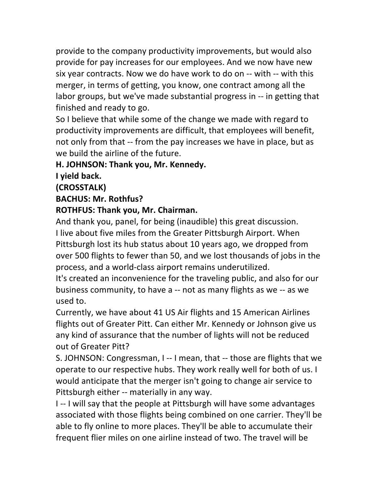provide to the company productivity improvements, but would also provide for pay increases for our employees. And we now have new six year contracts. Now we do have work to do on -- with -- with this merger, in terms of getting, you know, one contract among all the labor groups, but we've made substantial progress in -- in getting that finished and ready to go.

So I believe that while some of the change we made with regard to productivity improvements are difficult, that employees will benefit, not only from that -- from the pay increases we have in place, but as we build the airline of the future.

#### **H. JOHNSON: Thank you, Mr. Kennedy.**

### **I** yield back.

### **(CROSSTALK)**

### **BACHUS: Mr. Rothfus?**

### **ROTHFUS: Thank you, Mr. Chairman.**

And thank you, panel, for being (inaudible) this great discussion. I live about five miles from the Greater Pittsburgh Airport. When Pittsburgh lost its hub status about 10 years ago, we dropped from over 500 flights to fewer than 50, and we lost thousands of jobs in the process, and a world-class airport remains underutilized.

It's created an inconvenience for the traveling public, and also for our business community, to have a -- not as many flights as we -- as we used to.

Currently, we have about 41 US Air flights and 15 American Airlines flights out of Greater Pitt. Can either Mr. Kennedy or Johnson give us any kind of assurance that the number of lights will not be reduced out of Greater Pitt?

S. JOHNSON: Congressman, I -- I mean, that -- those are flights that we operate to our respective hubs. They work really well for both of us. I would anticipate that the merger isn't going to change air service to Pittsburgh either -- materially in any way.

I -- I will say that the people at Pittsburgh will have some advantages associated with those flights being combined on one carrier. They'll be able to fly online to more places. They'll be able to accumulate their frequent flier miles on one airline instead of two. The travel will be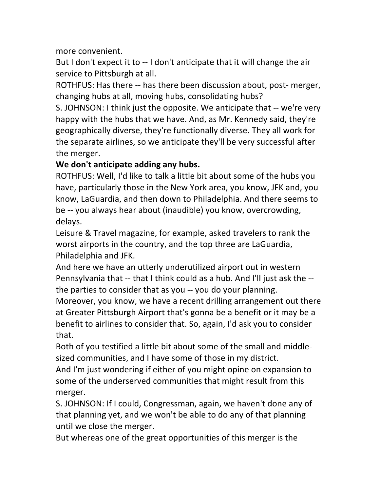more convenient.

But I don't expect it to -- I don't anticipate that it will change the air service to Pittsburgh at all.

ROTHFUS: Has there -- has there been discussion about, post- merger, changing hubs at all, moving hubs, consolidating hubs?

S. JOHNSON: I think just the opposite. We anticipate that -- we're very happy with the hubs that we have. And, as Mr. Kennedy said, they're geographically diverse, they're functionally diverse. They all work for the separate airlines, so we anticipate they'll be very successful after the merger.

### We don't anticipate adding any hubs.

ROTHFUS: Well, I'd like to talk a little bit about some of the hubs you have, particularly those in the New York area, you know, JFK and, you know, LaGuardia, and then down to Philadelphia. And there seems to be -- you always hear about (inaudible) you know, overcrowding, delays.

Leisure & Travel magazine, for example, asked travelers to rank the worst airports in the country, and the top three are LaGuardia, Philadelphia and JFK.

And here we have an utterly underutilized airport out in western Pennsylvania that -- that I think could as a hub. And I'll just ask the -the parties to consider that as you -- you do your planning.

Moreover, you know, we have a recent drilling arrangement out there at Greater Pittsburgh Airport that's gonna be a benefit or it may be a benefit to airlines to consider that. So, again, I'd ask you to consider that.

Both of you testified a little bit about some of the small and middlesized communities, and I have some of those in my district.

And I'm just wondering if either of you might opine on expansion to some of the underserved communities that might result from this merger.

S. JOHNSON: If I could, Congressman, again, we haven't done any of that planning yet, and we won't be able to do any of that planning until we close the merger.

But whereas one of the great opportunities of this merger is the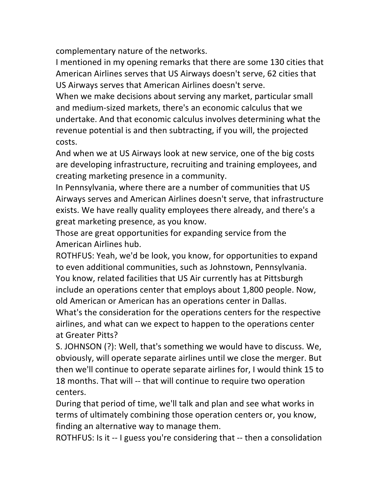complementary nature of the networks.

I mentioned in my opening remarks that there are some 130 cities that American Airlines serves that US Airways doesn't serve, 62 cities that US Airways serves that American Airlines doesn't serve.

When we make decisions about serving any market, particular small and medium-sized markets, there's an economic calculus that we undertake. And that economic calculus involves determining what the revenue potential is and then subtracting, if you will, the projected costs.

And when we at US Airways look at new service, one of the big costs are developing infrastructure, recruiting and training employees, and creating marketing presence in a community.

In Pennsylvania, where there are a number of communities that US Airways serves and American Airlines doesn't serve, that infrastructure exists. We have really quality employees there already, and there's a great marketing presence, as you know.

Those are great opportunities for expanding service from the American Airlines hub.

ROTHFUS: Yeah, we'd be look, you know, for opportunities to expand to even additional communities, such as Johnstown, Pennsylvania. You know, related facilities that US Air currently has at Pittsburgh include an operations center that employs about 1,800 people. Now, old American or American has an operations center in Dallas.

What's the consideration for the operations centers for the respective airlines, and what can we expect to happen to the operations center at Greater Pitts?

S. JOHNSON (?): Well, that's something we would have to discuss. We, obviously, will operate separate airlines until we close the merger. But then we'll continue to operate separate airlines for, I would think 15 to 18 months. That will -- that will continue to require two operation centers.

During that period of time, we'll talk and plan and see what works in terms of ultimately combining those operation centers or, you know, finding an alternative way to manage them.

ROTHFUS: Is it -- I guess you're considering that -- then a consolidation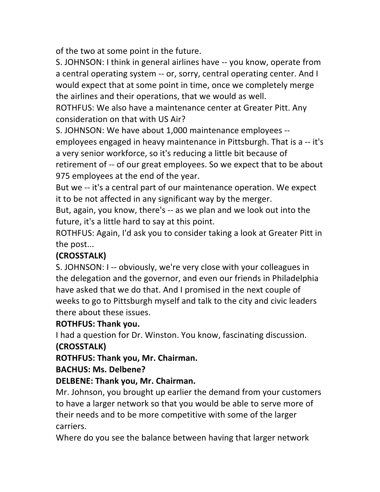of the two at some point in the future.

S. JOHNSON: I think in general airlines have -- you know, operate from a central operating system -- or, sorry, central operating center. And I would expect that at some point in time, once we completely merge the airlines and their operations, that we would as well.

ROTHFUS: We also have a maintenance center at Greater Pitt. Any consideration on that with US Air?

S. JOHNSON: We have about 1,000 maintenance employees --

employees engaged in heavy maintenance in Pittsburgh. That is a -- it's a very senior workforce, so it's reducing a little bit because of retirement of -- of our great employees. So we expect that to be about

975 employees at the end of the year.

But we -- it's a central part of our maintenance operation. We expect it to be not affected in any significant way by the merger.

But, again, you know, there's -- as we plan and we look out into the future, it's a little hard to say at this point.

ROTHFUS: Again, I'd ask you to consider taking a look at Greater Pitt in the post...

# **(CROSSTALK)**

S. JOHNSON: I -- obviously, we're very close with your colleagues in the delegation and the governor, and even our friends in Philadelphia have asked that we do that. And I promised in the next couple of weeks to go to Pittsburgh myself and talk to the city and civic leaders there about these issues.

## **ROTHFUS: Thank you.**

I had a question for Dr. Winston. You know, fascinating discussion. **(CROSSTALK)**

**ROTHFUS: Thank you, Mr. Chairman.** 

### **BACHUS: Ms. Delbene?**

### **DELBENE: Thank you, Mr. Chairman.**

Mr. Johnson, you brought up earlier the demand from your customers to have a larger network so that you would be able to serve more of their needs and to be more competitive with some of the larger carriers.

Where do you see the balance between having that larger network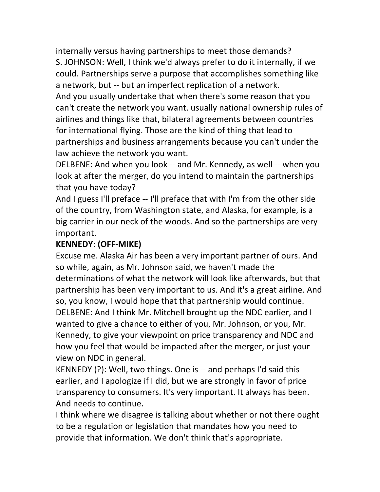internally versus having partnerships to meet those demands? S. JOHNSON: Well, I think we'd always prefer to do it internally, if we could. Partnerships serve a purpose that accomplishes something like a network, but -- but an imperfect replication of a network. And you usually undertake that when there's some reason that you can't create the network you want. usually national ownership rules of airlines and things like that, bilateral agreements between countries for international flying. Those are the kind of thing that lead to partnerships and business arrangements because you can't under the law achieve the network you want.

DELBENE: And when you look -- and Mr. Kennedy, as well -- when you look at after the merger, do you intend to maintain the partnerships that you have today?

And I guess I'll preface -- I'll preface that with I'm from the other side of the country, from Washington state, and Alaska, for example, is a big carrier in our neck of the woods. And so the partnerships are very important.

## KENNEDY: (OFF-MIKE)

Excuse me. Alaska Air has been a very important partner of ours. And so while, again, as Mr. Johnson said, we haven't made the determinations of what the network will look like afterwards, but that partnership has been very important to us. And it's a great airline. And so, you know, I would hope that that partnership would continue. DELBENE: And I think Mr. Mitchell brought up the NDC earlier, and I wanted to give a chance to either of you, Mr. Johnson, or you, Mr. Kennedy, to give your viewpoint on price transparency and NDC and how you feel that would be impacted after the merger, or just your view on NDC in general.

KENNEDY (?): Well, two things. One is -- and perhaps I'd said this earlier, and I apologize if I did, but we are strongly in favor of price transparency to consumers. It's very important. It always has been. And needs to continue.

I think where we disagree is talking about whether or not there ought to be a regulation or legislation that mandates how you need to provide that information. We don't think that's appropriate.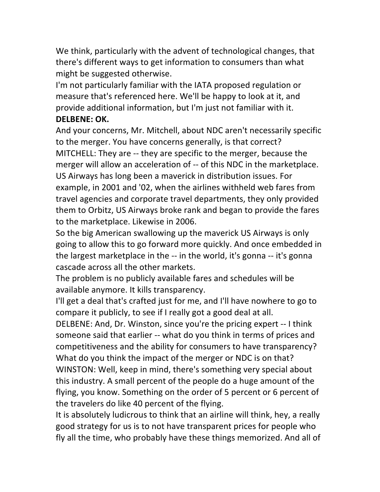We think, particularly with the advent of technological changes, that there's different ways to get information to consumers than what might be suggested otherwise.

I'm not particularly familiar with the IATA proposed regulation or measure that's referenced here. We'll be happy to look at it, and provide additional information, but I'm just not familiar with it. **DELBENE: OK.** 

And your concerns, Mr. Mitchell, about NDC aren't necessarily specific to the merger. You have concerns generally, is that correct? MITCHELL: They are -- they are specific to the merger, because the merger will allow an acceleration of -- of this NDC in the marketplace. US Airways has long been a maverick in distribution issues. For example, in 2001 and '02, when the airlines withheld web fares from travel agencies and corporate travel departments, they only provided them to Orbitz, US Airways broke rank and began to provide the fares to the marketplace. Likewise in 2006.

So the big American swallowing up the maverick US Airways is only going to allow this to go forward more quickly. And once embedded in the largest marketplace in the -- in the world, it's gonna -- it's gonna cascade across all the other markets.

The problem is no publicly available fares and schedules will be available anymore. It kills transparency.

I'll get a deal that's crafted just for me, and I'll have nowhere to go to compare it publicly, to see if I really got a good deal at all.

DELBENE: And, Dr. Winston, since you're the pricing expert -- I think someone said that earlier -- what do you think in terms of prices and competitiveness and the ability for consumers to have transparency? What do you think the impact of the merger or NDC is on that?

WINSTON: Well, keep in mind, there's something very special about this industry. A small percent of the people do a huge amount of the flying, you know. Something on the order of 5 percent or 6 percent of the travelers do like 40 percent of the flying.

It is absolutely ludicrous to think that an airline will think, hey, a really good strategy for us is to not have transparent prices for people who fly all the time, who probably have these things memorized. And all of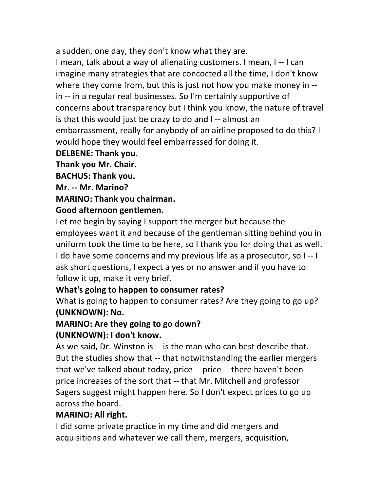a sudden, one day, they don't know what they are.

I mean, talk about a way of alienating customers. I mean, I -- I can imagine many strategies that are concocted all the time, I don't know where they come from, but this is just not how you make money in  $$ in -- in a regular real businesses. So I'm certainly supportive of concerns about transparency but I think you know, the nature of travel is that this would just be crazy to do and I -- almost an embarrassment, really for anybody of an airline proposed to do this? I would hope they would feel embarrassed for doing it.

#### **DELBENE: Thank you.**

**Thank!you!Mr.!Chair.**

**BACHUS: Thank you.** 

**Mr.!77 Mr.!Marino?**

#### **MARINO: Thank you chairman.**

### Good afternoon gentlemen.

Let me begin by saying I support the merger but because the employees want it and because of the gentleman sitting behind you in uniform took the time to be here, so I thank you for doing that as well. I do have some concerns and my previous life as a prosecutor, so  $I - I$ ask short questions, I expect a yes or no answer and if you have to follow it up, make it very brief.

### **What's going to happen to consumer rates?**

What is going to happen to consumer rates? Are they going to go up? **(UNKNOWN): No.** 

# **MARINO: Are they going to go down?**

### **(UNKNOWN): I don't know.**

As we said, Dr. Winston is -- is the man who can best describe that. But the studies show that -- that notwithstanding the earlier mergers that we've talked about today, price -- price -- there haven't been price increases of the sort that -- that Mr. Mitchell and professor Sagers suggest might happen here. So I don't expect prices to go up across the board.

#### **MARINO: All right.**

I did some private practice in my time and did mergers and acquisitions and whatever we call them, mergers, acquisition,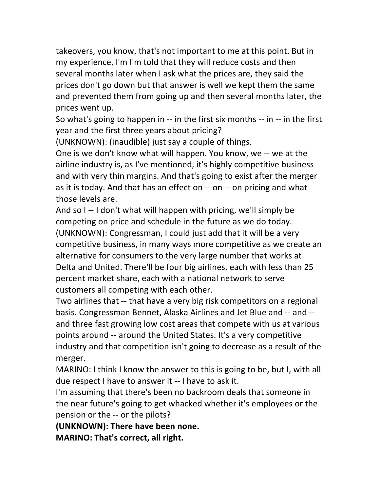takeovers, you know, that's not important to me at this point. But in my experience, I'm I'm told that they will reduce costs and then several months later when I ask what the prices are, they said the prices don't go down but that answer is well we kept them the same and prevented them from going up and then several months later, the prices went up.

So what's going to happen in  $-$  in the first six months  $-$  in  $-$  in the first year and the first three years about pricing?

(UNKNOWN): (inaudible) just say a couple of things.

One is we don't know what will happen. You know, we -- we at the airline industry is, as I've mentioned, it's highly competitive business and with very thin margins. And that's going to exist after the merger as it is today. And that has an effect on -- on -- on pricing and what those levels are.

And so I -- I don't what will happen with pricing, we'll simply be competing on price and schedule in the future as we do today. (UNKNOWN): Congressman, I could just add that it will be a very competitive business, in many ways more competitive as we create an alternative for consumers to the very large number that works at Delta and United. There'll be four big airlines, each with less than 25 percent market share, each with a national network to serve customers all competing with each other.

Two airlines that -- that have a very big risk competitors on a regional basis. Congressman Bennet, Alaska Airlines and Jet Blue and -- and -and three fast growing low cost areas that compete with us at various points around -- around the United States. It's a very competitive industry and that competition isn't going to decrease as a result of the merger.

MARINO: I think I know the answer to this is going to be, but I, with all due respect I have to answer it -- I have to ask it.

I'm assuming that there's been no backroom deals that someone in the near future's going to get whacked whether it's employees or the pension or the -- or the pilots?

**(UNKNOWN): There have been none.** 

**MARINO: That's correct, all right.**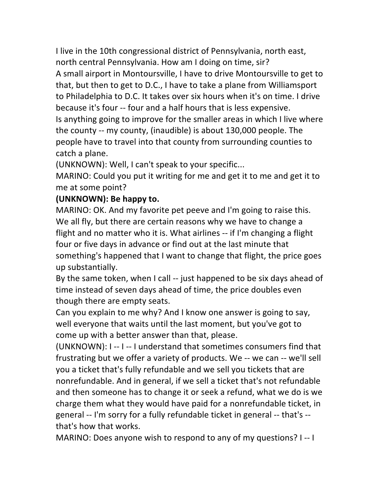I live in the 10th congressional district of Pennsylvania, north east, north central Pennsylvania. How am I doing on time, sir? A small airport in Montoursville, I have to drive Montoursville to get to that, but then to get to D.C., I have to take a plane from Williamsport to Philadelphia to D.C. It takes over six hours when it's on time. I drive because it's four -- four and a half hours that is less expensive. Is anything going to improve for the smaller areas in which I live where the county  $-$  my county, (inaudible) is about 130,000 people. The people have to travel into that county from surrounding counties to catch a plane.

(UNKNOWN): Well, I can't speak to your specific...

MARINO: Could you put it writing for me and get it to me and get it to me at some point?

### **(UNKNOWN): Be happy to.**

MARINO: OK. And my favorite pet peeve and I'm going to raise this. We all fly, but there are certain reasons why we have to change a flight and no matter who it is. What airlines -- if I'm changing a flight four or five days in advance or find out at the last minute that something's happened that I want to change that flight, the price goes up substantially.

By the same token, when I call -- just happened to be six days ahead of time instead of seven days ahead of time, the price doubles even though there are empty seats.

Can you explain to me why? And I know one answer is going to say, well everyone that waits until the last moment, but you've got to come up with a better answer than that, please.

(UNKNOWN): I -- I -- I understand that sometimes consumers find that frustrating but we offer a variety of products. We -- we can -- we'll sell you a ticket that's fully refundable and we sell you tickets that are nonrefundable. And in general, if we sell a ticket that's not refundable and then someone has to change it or seek a refund, what we do is we charge them what they would have paid for a nonrefundable ticket, in general -- I'm sorry for a fully refundable ticket in general -- that's -that's how that works.

MARINO: Does anyone wish to respond to any of my questions? I--I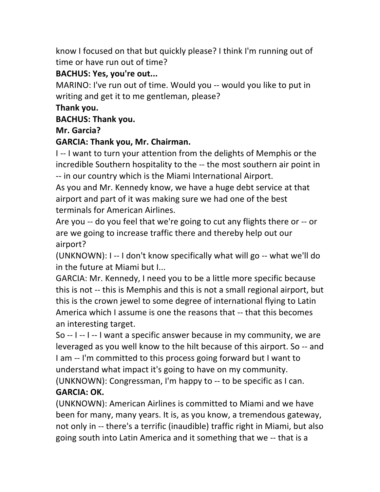know I focused on that but quickly please? I think I'm running out of time or have run out of time?

## **BACHUS: Yes, you're out...**

MARINO: I've run out of time. Would you -- would you like to put in writing and get it to me gentleman, please?

## **Thank!you.**

## **BACHUS: Thank you.**

**Mr.!Garcia?**

## **GARCIA: Thank you, Mr. Chairman.**

I -- I want to turn your attention from the delights of Memphis or the incredible Southern hospitality to the -- the most southern air point in  $-$  in our country which is the Miami International Airport.

As you and Mr. Kennedy know, we have a huge debt service at that airport and part of it was making sure we had one of the best terminals for American Airlines.

Are you -- do you feel that we're going to cut any flights there or -- or are we going to increase traffic there and thereby help out our airport?

(UNKNOWN): I -- I don't know specifically what will go -- what we'll do in the future at Miami but I...

GARCIA: Mr. Kennedy, I need you to be a little more specific because this is not -- this is Memphis and this is not a small regional airport, but this is the crown jewel to some degree of international flying to Latin America which I assume is one the reasons that -- that this becomes an interesting target.

So  $-1$  --  $1$  --  $1$  want a specific answer because in my community, we are leveraged as you well know to the hilt because of this airport. So -- and I am -- I'm committed to this process going forward but I want to understand what impact it's going to have on my community.

(UNKNOWN): Congressman, I'm happy to -- to be specific as I can. **GARCIA: OK.** 

(UNKNOWN): American Airlines is committed to Miami and we have been for many, many years. It is, as you know, a tremendous gateway, not only in -- there's a terrific (inaudible) traffic right in Miami, but also going south into Latin America and it something that we -- that is a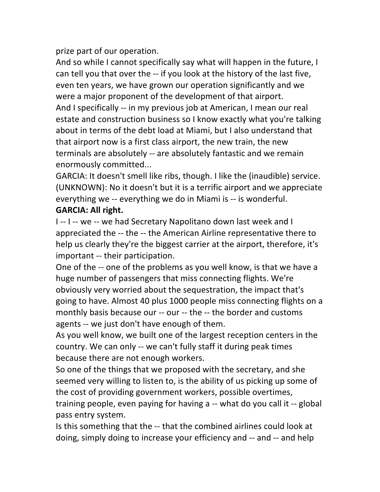prize part of our operation.

And so while I cannot specifically say what will happen in the future, I can tell you that over the -- if you look at the history of the last five, even ten years, we have grown our operation significantly and we were a major proponent of the development of that airport. And I specifically -- in my previous job at American, I mean our real estate and construction business so I know exactly what you're talking about in terms of the debt load at Miami, but I also understand that that airport now is a first class airport, the new train, the new terminals are absolutely -- are absolutely fantastic and we remain enormously!committed...

GARCIA: It doesn't smell like ribs, though. I like the (inaudible) service. (UNKNOWN): No it doesn't but it is a terrific airport and we appreciate everything we -- everything we do in Miami is -- is wonderful. **GARCIA: All right.** 

I -- I -- we -- we had Secretary Napolitano down last week and I appreciated the -- the -- the American Airline representative there to help us clearly they're the biggest carrier at the airport, therefore, it's important -- their participation.

One of the -- one of the problems as you well know, is that we have a huge number of passengers that miss connecting flights. We're obviously very worried about the sequestration, the impact that's going to have. Almost 40 plus 1000 people miss connecting flights on a monthly basis because our -- our -- the -- the border and customs agents -- we just don't have enough of them.

As you well know, we built one of the largest reception centers in the country. We can only -- we can't fully staff it during peak times because there are not enough workers.

So one of the things that we proposed with the secretary, and she seemed very willing to listen to, is the ability of us picking up some of the cost of providing government workers, possible overtimes, training people, even paying for having a -- what do you call it -- global pass entry system.

Is this something that the -- that the combined airlines could look at doing, simply doing to increase your efficiency and -- and -- and help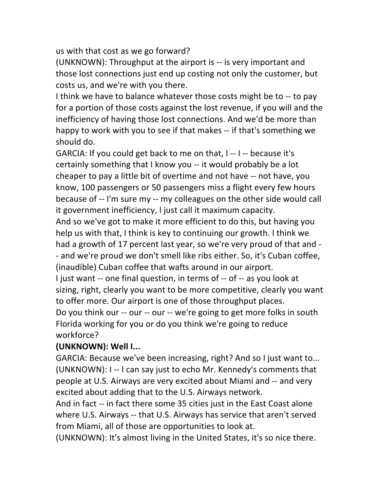us with that cost as we go forward?

(UNKNOWN): Throughput at the airport is -- is very important and those lost connections just end up costing not only the customer, but costs us, and we're with you there.

I think we have to balance whatever those costs might be to -- to pay for a portion of those costs against the lost revenue, if you will and the inefficiency of having those lost connections. And we'd be more than happy to work with you to see if that makes -- if that's something we should do.

GARCIA: If you could get back to me on that,  $I - I -$  because it's certainly something that I know you -- it would probably be a lot cheaper to pay a little bit of overtime and not have -- not have, you know, 100 passengers or 50 passengers miss a flight every few hours. because of -- I'm sure my -- my colleagues on the other side would call it government inefficiency, I just call it maximum capacity.

And so we've got to make it more efficient to do this, but having you help us with that, I think is key to continuing our growth. I think we had a growth of 17 percent last year, so we're very proud of that and -- and we're proud we don't smell like ribs either. So, it's Cuban coffee, (inaudible) Cuban coffee that wafts around in our airport.

I just want  $-$  one final question, in terms of  $-$  of  $-$  as you look at sizing, right, clearly you want to be more competitive, clearly you want to offer more. Our airport is one of those throughput places. Do you think our -- our -- our -- we're going to get more folks in south Florida working for you or do you think we're going to reduce workforce?

### **(UNKNOWN): Well I...**

GARCIA: Because we've been increasing, right? And so I just want to... (UNKNOWN): I -- I can say just to echo Mr. Kennedy's comments that people at U.S. Airways are very excited about Miami and -- and very excited about adding that to the U.S. Airways network.

And in fact -- in fact there some 35 cities just in the East Coast alone where U.S. Airways -- that U.S. Airways has service that aren't served from Miami, all of those are opportunities to look at.

(UNKNOWN): It's almost living in the United States, it's so nice there.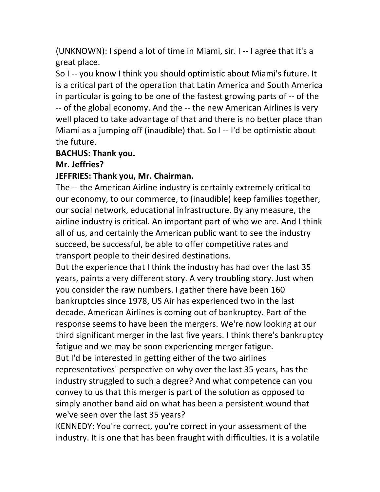(UNKNOWN): I spend a lot of time in Miami, sir. I  $-$  I agree that it's a great place.

So I -- you know I think you should optimistic about Miami's future. It is a critical part of the operation that Latin America and South America in particular is going to be one of the fastest growing parts of -- of the -- of the global economy. And the -- the new American Airlines is very well placed to take advantage of that and there is no better place than Miami as a jumping off (inaudible) that. So I -- I'd be optimistic about the future.

#### **BACHUS: Thank you.**

#### **Mr.!Jeffries?**

#### **JEFFRIES: Thank you, Mr. Chairman.**

The -- the American Airline industry is certainly extremely critical to our economy, to our commerce, to (inaudible) keep families together, our social network, educational infrastructure. By any measure, the airline industry is critical. An important part of who we are. And I think all of us, and certainly the American public want to see the industry succeed, be successful, be able to offer competitive rates and transport people to their desired destinations.

But the experience that I think the industry has had over the last 35 years, paints a very different story. A very troubling story. Just when you consider the raw numbers. I gather there have been 160 bankruptcies since 1978, US Air has experienced two in the last decade. American Airlines is coming out of bankruptcy. Part of the response seems to have been the mergers. We're now looking at our third significant merger in the last five years. I think there's bankruptcy fatigue and we may be soon experiencing merger fatigue. But I'd be interested in getting either of the two airlines representatives' perspective on why over the last 35 years, has the industry struggled to such a degree? And what competence can you convey to us that this merger is part of the solution as opposed to simply another band aid on what has been a persistent wound that we've seen over the last 35 years?

KENNEDY: You're correct, you're correct in your assessment of the industry. It is one that has been fraught with difficulties. It is a volatile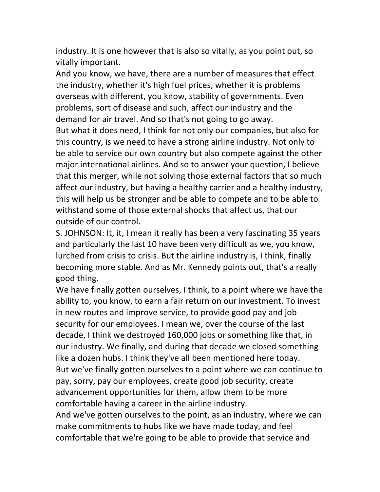industry. It is one however that is also so vitally, as you point out, so vitally important.

And you know, we have, there are a number of measures that effect the industry, whether it's high fuel prices, whether it is problems overseas with different, you know, stability of governments. Even problems, sort of disease and such, affect our industry and the demand for air travel. And so that's not going to go away.

But what it does need, I think for not only our companies, but also for this country, is we need to have a strong airline industry. Not only to be able to service our own country but also compete against the other major international airlines. And so to answer your question, I believe that this merger, while not solving those external factors that so much affect our industry, but having a healthy carrier and a healthy industry, this will help us be stronger and be able to compete and to be able to withstand some of those external shocks that affect us, that our outside of our control.

S. JOHNSON: It, it, I mean it really has been a very fascinating 35 years and particularly the last 10 have been very difficult as we, you know, lurched from crisis to crisis. But the airline industry is, I think, finally becoming more stable. And as Mr. Kennedy points out, that's a really good thing.

We have finally gotten ourselves, I think, to a point where we have the ability to, you know, to earn a fair return on our investment. To invest in new routes and improve service, to provide good pay and job security for our employees. I mean we, over the course of the last decade, I think we destroyed 160,000 jobs or something like that, in our industry. We finally, and during that decade we closed something like a dozen hubs. I think they've all been mentioned here today. But we've finally gotten ourselves to a point where we can continue to pay, sorry, pay our employees, create good job security, create advancement opportunities for them, allow them to be more comfortable having a career in the airline industry.

And we've gotten ourselves to the point, as an industry, where we can make commitments to hubs like we have made today, and feel comfortable that we're going to be able to provide that service and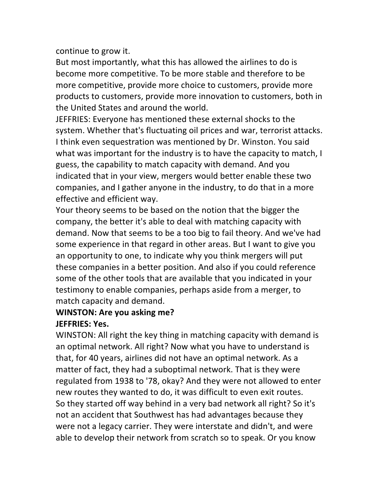continue to grow it.

But most importantly, what this has allowed the airlines to do is become more competitive. To be more stable and therefore to be more competitive, provide more choice to customers, provide more products to customers, provide more innovation to customers, both in the United States and around the world.

JEFFRIES: Everyone has mentioned these external shocks to the system. Whether that's fluctuating oil prices and war, terrorist attacks. I think even sequestration was mentioned by Dr. Winston. You said what was important for the industry is to have the capacity to match, I guess, the capability to match capacity with demand. And you indicated that in your view, mergers would better enable these two companies, and I gather anyone in the industry, to do that in a more effective and efficient way.

Your theory seems to be based on the notion that the bigger the company, the better it's able to deal with matching capacity with demand. Now that seems to be a too big to fail theory. And we've had some experience in that regard in other areas. But I want to give you an opportunity to one, to indicate why you think mergers will put these companies in a better position. And also if you could reference some of the other tools that are available that you indicated in your testimony to enable companies, perhaps aside from a merger, to match capacity and demand.

### **WINSTON: Are you asking me? JEFFRIES: Yes.**

WINSTON: All right the key thing in matching capacity with demand is an optimal network. All right? Now what you have to understand is that, for 40 years, airlines did not have an optimal network. As a matter of fact, they had a suboptimal network. That is they were regulated from 1938 to '78, okay? And they were not allowed to enter new routes they wanted to do, it was difficult to even exit routes. So they started off way behind in a very bad network all right? So it's not an accident that Southwest has had advantages because they were not a legacy carrier. They were interstate and didn't, and were able to develop their network from scratch so to speak. Or you know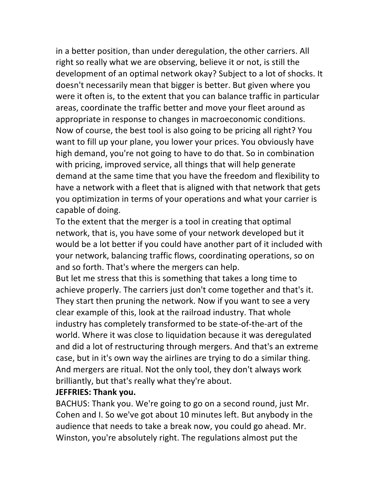in a better position, than under deregulation, the other carriers. All right so really what we are observing, believe it or not, is still the development of an optimal network okay? Subject to a lot of shocks. It doesn't necessarily mean that bigger is better. But given where you were it often is, to the extent that you can balance traffic in particular areas, coordinate the traffic better and move your fleet around as appropriate in response to changes in macroeconomic conditions. Now of course, the best tool is also going to be pricing all right? You want to fill up your plane, you lower your prices. You obviously have high demand, you're not going to have to do that. So in combination with pricing, improved service, all things that will help generate demand at the same time that you have the freedom and flexibility to have a network with a fleet that is aligned with that network that gets you optimization in terms of your operations and what your carrier is capable of doing.

To the extent that the merger is a tool in creating that optimal network, that is, you have some of your network developed but it would be a lot better if you could have another part of it included with your network, balancing traffic flows, coordinating operations, so on and so forth. That's where the mergers can help.

But let me stress that this is something that takes a long time to achieve properly. The carriers just don't come together and that's it. They start then pruning the network. Now if you want to see a very clear example of this, look at the railroad industry. That whole industry has completely transformed to be state-of-the-art of the world. Where it was close to liquidation because it was deregulated and did a lot of restructuring through mergers. And that's an extreme case, but in it's own way the airlines are trying to do a similar thing. And mergers are ritual. Not the only tool, they don't always work brilliantly, but that's really what they're about.

#### **JEFFRIES: Thank you.**

BACHUS: Thank you. We're going to go on a second round, just Mr. Cohen and I. So we've got about 10 minutes left. But anybody in the audience that needs to take a break now, you could go ahead. Mr. Winston, you're absolutely right. The regulations almost put the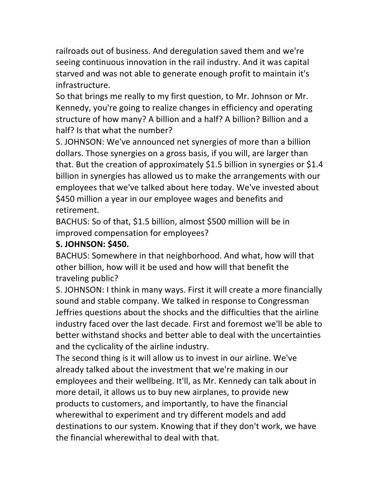railroads out of business. And deregulation saved them and we're seeing continuous innovation in the rail industry. And it was capital starved and was not able to generate enough profit to maintain it's infrastructure.

So that brings me really to my first question, to Mr. Johnson or Mr. Kennedy, you're going to realize changes in efficiency and operating structure of how many? A billion and a half? A billion? Billion and a half? Is that what the number?

S. JOHNSON: We've announced net synergies of more than a billion dollars. Those synergies on a gross basis, if you will, are larger than that. But the creation of approximately \$1.5 billion in synergies or \$1.4 billion in synergies has allowed us to make the arrangements with our employees that we've talked about here today. We've invested about \$450 million a year in our employee wages and benefits and retirement.

BACHUS: So of that, \$1.5 billion, almost \$500 million will be in improved compensation for employees?

## **S. JOHNSON: \$450.**

BACHUS: Somewhere in that neighborhood. And what, how will that other billion, how will it be used and how will that benefit the traveling public?

S. JOHNSON: I think in many ways. First it will create a more financially sound and stable company. We talked in response to Congressman Jeffries questions about the shocks and the difficulties that the airline industry faced over the last decade. First and foremost we'll be able to better withstand shocks and better able to deal with the uncertainties and the cyclicality of the airline industry.

The second thing is it will allow us to invest in our airline. We've already talked about the investment that we're making in our employees and their wellbeing. It'll, as Mr. Kennedy can talk about in more detail, it allows us to buy new airplanes, to provide new products to customers, and importantly, to have the financial wherewithal to experiment and try different models and add destinations to our system. Knowing that if they don't work, we have the financial wherewithal to deal with that.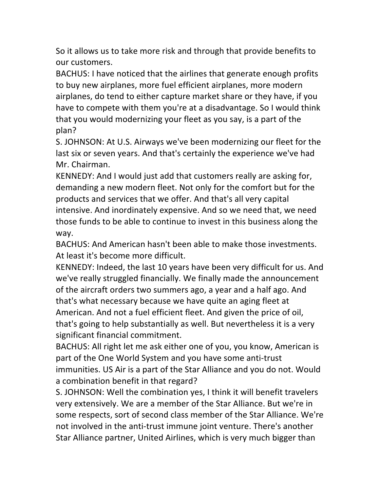So it allows us to take more risk and through that provide benefits to our customers.

BACHUS: I have noticed that the airlines that generate enough profits to buy new airplanes, more fuel efficient airplanes, more modern airplanes, do tend to either capture market share or they have, if you have to compete with them you're at a disadvantage. So I would think that you would modernizing your fleet as you say, is a part of the plan?

S. JOHNSON: At U.S. Airways we've been modernizing our fleet for the last six or seven years. And that's certainly the experience we've had Mr. Chairman.

KENNEDY: And I would just add that customers really are asking for, demanding a new modern fleet. Not only for the comfort but for the products and services that we offer. And that's all very capital intensive. And inordinately expensive. And so we need that, we need those funds to be able to continue to invest in this business along the way.

BACHUS: And American hasn't been able to make those investments. At least it's become more difficult.

KENNEDY: Indeed, the last 10 years have been very difficult for us. And we've really struggled financially. We finally made the announcement of the aircraft orders two summers ago, a year and a half ago. And that's what necessary because we have quite an aging fleet at American. And not a fuel efficient fleet. And given the price of oil, that's going to help substantially as well. But nevertheless it is a very significant financial commitment.

BACHUS: All right let me ask either one of you, you know, American is part of the One World System and you have some anti-trust immunities. US Air is a part of the Star Alliance and you do not. Would a combination benefit in that regard?

S. JOHNSON: Well the combination yes, I think it will benefit travelers very extensively. We are a member of the Star Alliance. But we're in some respects, sort of second class member of the Star Alliance. We're not involved in the anti-trust immune joint venture. There's another Star Alliance partner, United Airlines, which is very much bigger than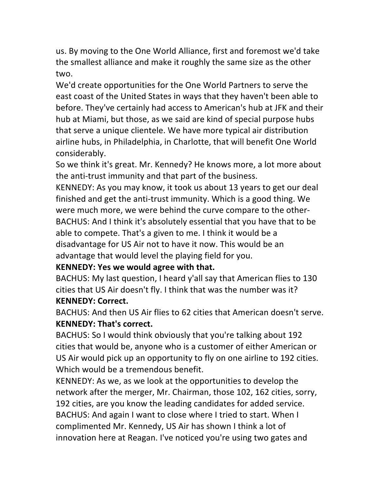us. By moving to the One World Alliance, first and foremost we'd take the smallest alliance and make it roughly the same size as the other two.

We'd create opportunities for the One World Partners to serve the east coast of the United States in ways that they haven't been able to before. They've certainly had access to American's hub at JFK and their hub at Miami, but those, as we said are kind of special purpose hubs that serve a unique clientele. We have more typical air distribution airline hubs, in Philadelphia, in Charlotte, that will benefit One World considerably.

So we think it's great. Mr. Kennedy? He knows more, a lot more about the anti-trust immunity and that part of the business.

KENNEDY: As you may know, it took us about 13 years to get our deal finished and get the anti-trust immunity. Which is a good thing. We were much more, we were behind the curve compare to the other-BACHUS: And I think it's absolutely essential that you have that to be able to compete. That's a given to me. I think it would be a disadvantage for US Air not to have it now. This would be an advantage that would level the playing field for you.

### KENNEDY: Yes we would agree with that.

BACHUS: My last question, I heard y'all say that American flies to 130 cities that US Air doesn't fly. I think that was the number was it? **KENNEDY: Correct.** 

BACHUS: And then US Air flies to 62 cities that American doesn't serve. **KENNEDY: That's correct.** 

BACHUS: So I would think obviously that you're talking about 192 cities that would be, anyone who is a customer of either American or US Air would pick up an opportunity to fly on one airline to 192 cities. Which would be a tremendous benefit.

KENNEDY: As we, as we look at the opportunities to develop the network after the merger, Mr. Chairman, those 102, 162 cities, sorry, 192 cities, are you know the leading candidates for added service. BACHUS: And again I want to close where I tried to start. When I complimented Mr. Kennedy, US Air has shown I think a lot of innovation here at Reagan. I've noticed you're using two gates and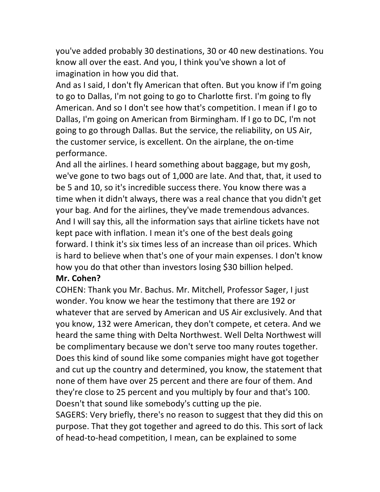you've added probably 30 destinations, 30 or 40 new destinations. You know all over the east. And you, I think you've shown a lot of imagination in how you did that.

And as I said, I don't fly American that often. But you know if I'm going to go to Dallas, I'm not going to go to Charlotte first. I'm going to fly American. And so I don't see how that's competition. I mean if I go to Dallas, I'm going on American from Birmingham. If I go to DC, I'm not going to go through Dallas. But the service, the reliability, on US Air, the customer service, is excellent. On the airplane, the on-time performance.

And all the airlines. I heard something about baggage, but my gosh, we've gone to two bags out of 1,000 are late. And that, that, it used to be 5 and 10, so it's incredible success there. You know there was a time when it didn't always, there was a real chance that you didn't get your bag. And for the airlines, they've made tremendous advances. And I will say this, all the information says that airline tickets have not kept pace with inflation. I mean it's one of the best deals going forward. I think it's six times less of an increase than oil prices. Which is hard to believe when that's one of your main expenses. I don't know how you do that other than investors losing \$30 billion helped.

#### **Mr.!Cohen?**

COHEN: Thank you Mr. Bachus. Mr. Mitchell, Professor Sager, I just wonder. You know we hear the testimony that there are 192 or whatever that are served by American and US Air exclusively. And that you know, 132 were American, they don't compete, et cetera. And we heard the same thing with Delta Northwest. Well Delta Northwest will be complimentary because we don't serve too many routes together. Does this kind of sound like some companies might have got together and cut up the country and determined, you know, the statement that none of them have over 25 percent and there are four of them. And they're close to 25 percent and you multiply by four and that's 100. Doesn't that sound like somebody's cutting up the pie.

SAGERS: Very briefly, there's no reason to suggest that they did this on purpose. That they got together and agreed to do this. This sort of lack of head-to-head competition, I mean, can be explained to some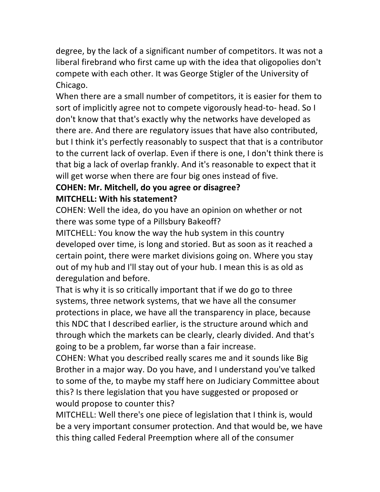degree, by the lack of a significant number of competitors. It was not a liberal firebrand who first came up with the idea that oligopolies don't compete with each other. It was George Stigler of the University of Chicago.

When there are a small number of competitors, it is easier for them to sort of implicitly agree not to compete vigorously head-to- head. So I don't know that that's exactly why the networks have developed as there are. And there are regulatory issues that have also contributed, but I think it's perfectly reasonably to suspect that that is a contributor to the current lack of overlap. Even if there is one, I don't think there is that big a lack of overlap frankly. And it's reasonable to expect that it will get worse when there are four big ones instead of five.

### **COHEN: Mr. Mitchell, do you agree or disagree? MITCHELL: With his statement?**

COHEN: Well the idea, do you have an opinion on whether or not there was some type of a Pillsbury Bakeoff?

MITCHELL: You know the way the hub system in this country developed over time, is long and storied. But as soon as it reached a certain point, there were market divisions going on. Where you stay out of my hub and I'll stay out of your hub. I mean this is as old as deregulation and before.

That is why it is so critically important that if we do go to three systems, three network systems, that we have all the consumer protections in place, we have all the transparency in place, because this NDC that I described earlier, is the structure around which and through which the markets can be clearly, clearly divided. And that's going to be a problem, far worse than a fair increase.

COHEN: What you described really scares me and it sounds like Big Brother in a major way. Do you have, and I understand you've talked to some of the, to maybe my staff here on Judiciary Committee about this? Is there legislation that you have suggested or proposed or would propose to counter this?

MITCHELL: Well there's one piece of legislation that I think is, would be a very important consumer protection. And that would be, we have this thing called Federal Preemption where all of the consumer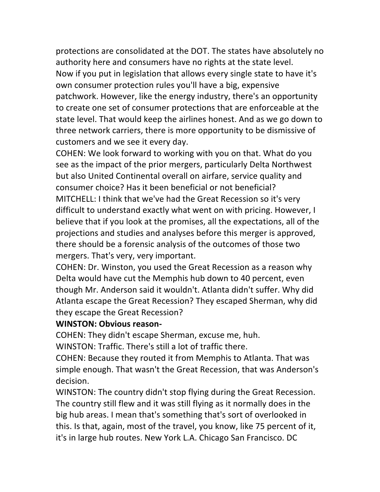protections are consolidated at the DOT. The states have absolutely no authority here and consumers have no rights at the state level. Now if you put in legislation that allows every single state to have it's own consumer protection rules you'll have a big, expensive patchwork. However, like the energy industry, there's an opportunity to create one set of consumer protections that are enforceable at the state level. That would keep the airlines honest. And as we go down to three network carriers, there is more opportunity to be dismissive of customers and we see it every day.

COHEN: We look forward to working with you on that. What do you see as the impact of the prior mergers, particularly Delta Northwest but also United Continental overall on airfare, service quality and consumer choice? Has it been beneficial or not beneficial? MITCHELL: I think that we've had the Great Recession so it's very difficult to understand exactly what went on with pricing. However, I believe that if you look at the promises, all the expectations, all of the projections and studies and analyses before this merger is approved, there should be a forensic analysis of the outcomes of those two mergers. That's very, very important.

COHEN: Dr. Winston, you used the Great Recession as a reason why Delta would have cut the Memphis hub down to 40 percent, even though Mr. Anderson said it wouldn't. Atlanta didn't suffer. Why did Atlanta escape the Great Recession? They escaped Sherman, why did they escape the Great Recession?

#### **WINSTON: Obvious reason-**

COHEN: They didn't escape Sherman, excuse me, huh.

WINSTON: Traffic. There's still a lot of traffic there.

COHEN: Because they routed it from Memphis to Atlanta. That was simple enough. That wasn't the Great Recession, that was Anderson's decision.

WINSTON: The country didn't stop flying during the Great Recession. The country still flew and it was still flying as it normally does in the big hub areas. I mean that's something that's sort of overlooked in this. Is that, again, most of the travel, you know, like 75 percent of it, it's in large hub routes. New York L.A. Chicago San Francisco. DC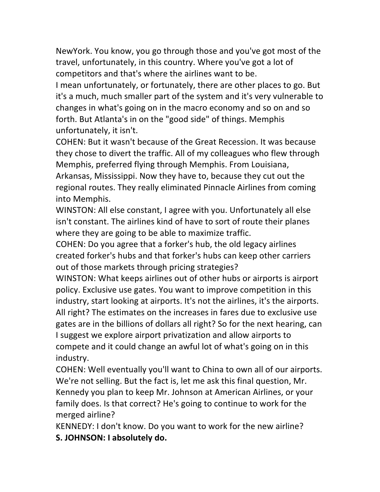NewYork. You know, you go through those and you've got most of the travel, unfortunately, in this country. Where you've got a lot of competitors and that's where the airlines want to be.

I mean unfortunately, or fortunately, there are other places to go. But it's a much, much smaller part of the system and it's very vulnerable to changes in what's going on in the macro economy and so on and so forth. But Atlanta's in on the "good side" of things. Memphis unfortunately, it isn't.

COHEN: But it wasn't because of the Great Recession. It was because they chose to divert the traffic. All of my colleagues who flew through Memphis, preferred flying through Memphis. From Louisiana, Arkansas, Mississippi. Now they have to, because they cut out the regional routes. They really eliminated Pinnacle Airlines from coming into Memphis.

WINSTON: All else constant, I agree with you. Unfortunately all else isn't constant. The airlines kind of have to sort of route their planes where they are going to be able to maximize traffic.

COHEN: Do you agree that a forker's hub, the old legacy airlines created forker's hubs and that forker's hubs can keep other carriers out of those markets through pricing strategies?

WINSTON: What keeps airlines out of other hubs or airports is airport policy. Exclusive use gates. You want to improve competition in this industry, start looking at airports. It's not the airlines, it's the airports. All right? The estimates on the increases in fares due to exclusive use gates are in the billions of dollars all right? So for the next hearing, can I suggest we explore airport privatization and allow airports to compete and it could change an awful lot of what's going on in this industry.

COHEN: Well eventually you'll want to China to own all of our airports. We're not selling. But the fact is, let me ask this final question, Mr. Kennedy you plan to keep Mr. Johnson at American Airlines, or your family does. Is that correct? He's going to continue to work for the merged airline?

KENNEDY: I don't know. Do you want to work for the new airline? **S. JOHNSON: I absolutely do.**